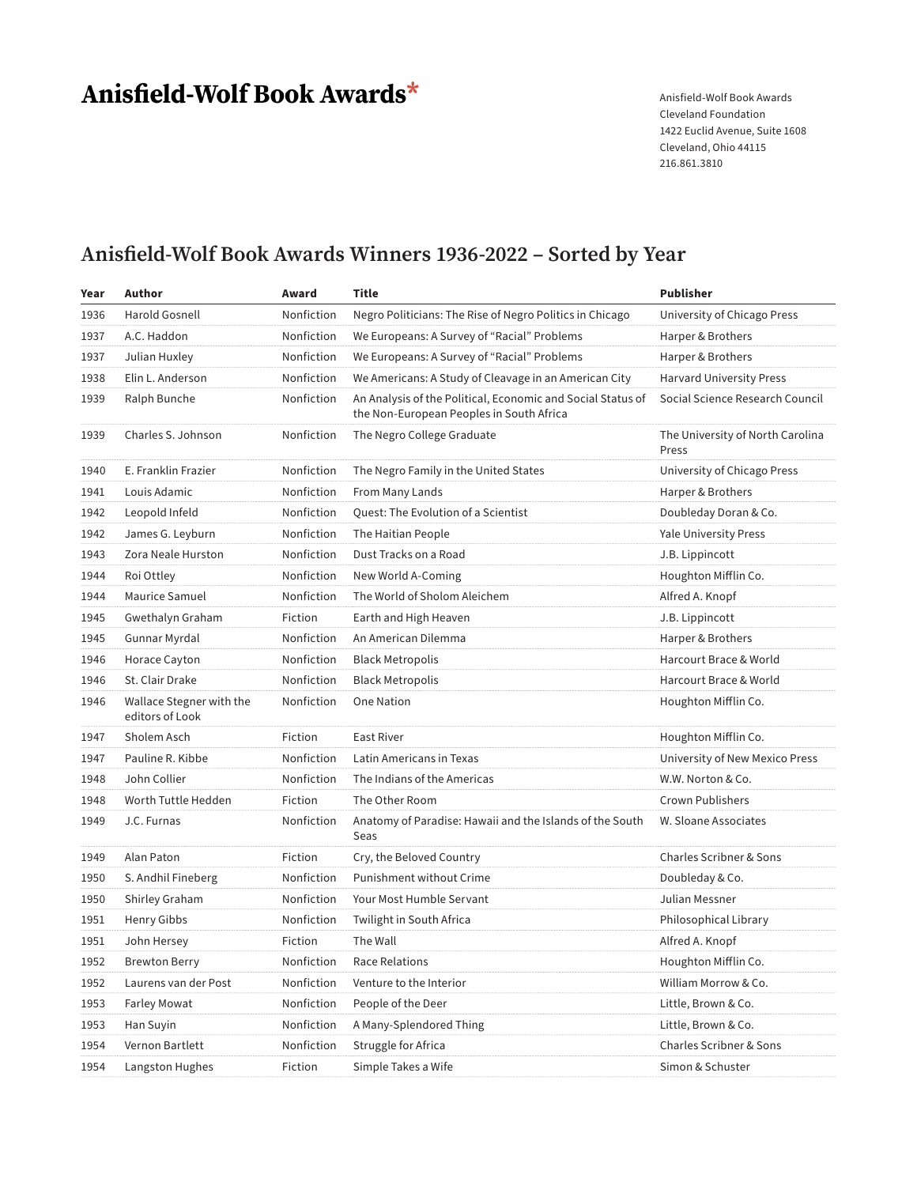# Anisfield-Wolf Book Awards\*

Anisfield-Wolf Book Awards Cleveland Foundation 1422 Euclid Avenue, Suite 1608 Cleveland, Ohio 44115 216.861.3810

### **Anisfield-Wolf Book Awards Winners 1936-2022 – Sorted by Year**

| Year | Author                                      | Award      | <b>Title</b>                                                                                            | <b>Publisher</b>                          |
|------|---------------------------------------------|------------|---------------------------------------------------------------------------------------------------------|-------------------------------------------|
| 1936 | Harold Gosnell                              | Nonfiction | Negro Politicians: The Rise of Negro Politics in Chicago                                                | University of Chicago Press               |
| 1937 | A.C. Haddon                                 | Nonfiction | We Europeans: A Survey of "Racial" Problems                                                             | Harper & Brothers                         |
| 1937 | Julian Huxley                               | Nonfiction | We Europeans: A Survey of "Racial" Problems                                                             | Harper & Brothers                         |
| 1938 | Elin L. Anderson                            | Nonfiction | We Americans: A Study of Cleavage in an American City                                                   | <b>Harvard University Press</b>           |
| 1939 | Ralph Bunche                                | Nonfiction | An Analysis of the Political, Economic and Social Status of<br>the Non-European Peoples in South Africa | Social Science Research Council           |
| 1939 | Charles S. Johnson                          | Nonfiction | The Negro College Graduate                                                                              | The University of North Carolina<br>Press |
| 1940 | E. Franklin Frazier                         | Nonfiction | The Negro Family in the United States                                                                   | University of Chicago Press               |
| 1941 | Louis Adamic                                | Nonfiction | From Many Lands                                                                                         | Harper & Brothers                         |
| 1942 | Leopold Infeld                              | Nonfiction | Quest: The Evolution of a Scientist                                                                     | Doubleday Doran & Co.                     |
| 1942 | James G. Leyburn                            | Nonfiction | The Haitian People                                                                                      | <b>Yale University Press</b>              |
| 1943 | Zora Neale Hurston                          | Nonfiction | Dust Tracks on a Road                                                                                   | J.B. Lippincott                           |
| 1944 | Roi Ottley                                  | Nonfiction | New World A-Coming                                                                                      | Houghton Mifflin Co.                      |
| 1944 | Maurice Samuel                              | Nonfiction | The World of Sholom Aleichem                                                                            | Alfred A. Knopf                           |
| 1945 | Gwethalyn Graham                            | Fiction    | Earth and High Heaven                                                                                   | J.B. Lippincott                           |
| 1945 | Gunnar Myrdal                               | Nonfiction | An American Dilemma                                                                                     | Harper & Brothers                         |
| 1946 | Horace Cayton                               | Nonfiction | <b>Black Metropolis</b>                                                                                 | Harcourt Brace & World                    |
| 1946 | St. Clair Drake                             | Nonfiction | <b>Black Metropolis</b>                                                                                 | Harcourt Brace & World                    |
| 1946 | Wallace Stegner with the<br>editors of Look | Nonfiction | <b>One Nation</b>                                                                                       | Houghton Mifflin Co.                      |
| 1947 | Sholem Asch                                 | Fiction    | East River                                                                                              | Houghton Mifflin Co.                      |
| 1947 | Pauline R. Kibbe                            | Nonfiction | Latin Americans in Texas                                                                                | University of New Mexico Press            |
| 1948 | John Collier                                | Nonfiction | The Indians of the Americas                                                                             | W.W. Norton & Co.                         |
| 1948 | Worth Tuttle Hedden                         | Fiction    | The Other Room                                                                                          | <b>Crown Publishers</b>                   |
| 1949 | J.C. Furnas                                 | Nonfiction | Anatomy of Paradise: Hawaii and the Islands of the South<br>Seas                                        | W. Sloane Associates                      |
| 1949 | Alan Paton                                  | Fiction    | Cry, the Beloved Country                                                                                | Charles Scribner & Sons                   |
| 1950 | S. Andhil Fineberg                          | Nonfiction | Punishment without Crime                                                                                | Doubleday & Co.                           |
| 1950 | Shirley Graham                              | Nonfiction | Your Most Humble Servant                                                                                | Julian Messner                            |
| 1951 | Henry Gibbs                                 | Nonfiction | Twilight in South Africa                                                                                | Philosophical Library                     |
| 1951 | John Hersey                                 | Fiction    | The Wall                                                                                                | Alfred A. Knopf                           |
| 1952 | <b>Brewton Berry</b>                        | Nonfiction | Race Relations                                                                                          | Houghton Mifflin Co.                      |
| 1952 | Laurens van der Post                        | Nonfiction | Venture to the Interior                                                                                 | William Morrow & Co.                      |
| 1953 | Farley Mowat                                | Nonfiction | People of the Deer                                                                                      | Little, Brown & Co.                       |
| 1953 | Han Suyin                                   | Nonfiction | A Many-Splendored Thing                                                                                 | Little, Brown & Co.                       |
| 1954 | Vernon Bartlett                             | Nonfiction | Struggle for Africa                                                                                     | Charles Scribner & Sons                   |
| 1954 | Langston Hughes                             | Fiction    | Simple Takes a Wife                                                                                     | Simon & Schuster                          |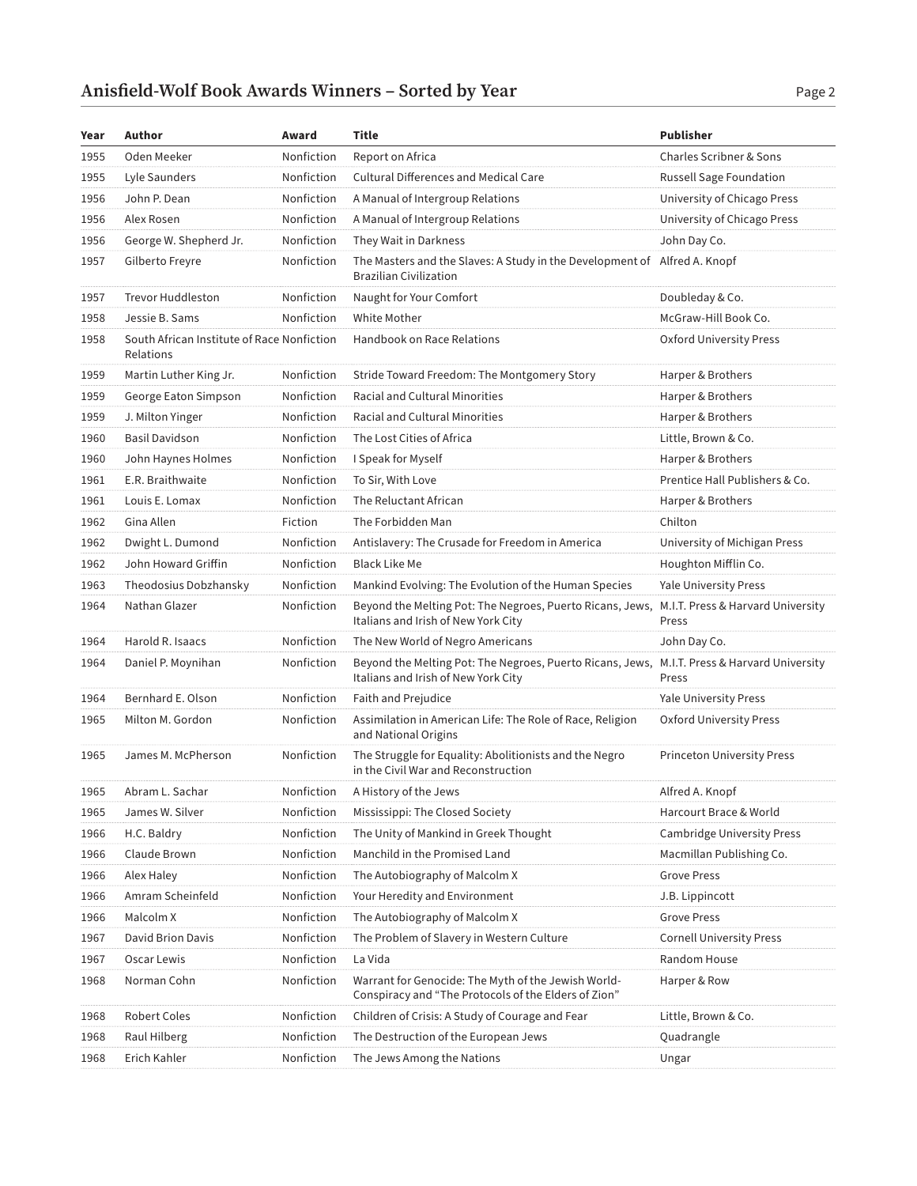| Year | Author                                                  | Award      | Title                                                                                                       | <b>Publisher</b>                           |
|------|---------------------------------------------------------|------------|-------------------------------------------------------------------------------------------------------------|--------------------------------------------|
| 1955 | Oden Meeker                                             | Nonfiction | Report on Africa                                                                                            | Charles Scribner & Sons                    |
| 1955 | Lyle Saunders                                           | Nonfiction | <b>Cultural Differences and Medical Care</b>                                                                | Russell Sage Foundation                    |
| 1956 | John P. Dean                                            | Nonfiction | A Manual of Intergroup Relations                                                                            | University of Chicago Press                |
| 1956 | Alex Rosen                                              | Nonfiction | A Manual of Intergroup Relations                                                                            | University of Chicago Press                |
| 1956 | George W. Shepherd Jr.                                  | Nonfiction | They Wait in Darkness                                                                                       | John Day Co.                               |
| 1957 | Gilberto Freyre                                         | Nonfiction | The Masters and the Slaves: A Study in the Development of Alfred A. Knopf<br><b>Brazilian Civilization</b>  |                                            |
| 1957 | <b>Trevor Huddleston</b>                                | Nonfiction | Naught for Your Comfort                                                                                     | Doubleday & Co.                            |
| 1958 | Jessie B. Sams                                          | Nonfiction | White Mother                                                                                                | McGraw-Hill Book Co.                       |
| 1958 | South African Institute of Race Nonfiction<br>Relations |            | Handbook on Race Relations                                                                                  | Oxford University Press                    |
| 1959 | Martin Luther King Jr.                                  | Nonfiction | Stride Toward Freedom: The Montgomery Story                                                                 | Harper & Brothers                          |
| 1959 | George Eaton Simpson                                    | Nonfiction | Racial and Cultural Minorities                                                                              | Harper & Brothers                          |
| 1959 | J. Milton Yinger                                        | Nonfiction | <b>Racial and Cultural Minorities</b>                                                                       | Harper & Brothers                          |
| 1960 | <b>Basil Davidson</b>                                   | Nonfiction | The Lost Cities of Africa                                                                                   | Little, Brown & Co.                        |
| 1960 | John Haynes Holmes                                      | Nonfiction | I Speak for Myself                                                                                          | Harper & Brothers                          |
| 1961 | E.R. Braithwaite                                        | Nonfiction | To Sir, With Love                                                                                           | Prentice Hall Publishers & Co.             |
| 1961 | Louis E. Lomax                                          | Nonfiction | The Reluctant African                                                                                       | Harper & Brothers                          |
| 1962 | Gina Allen                                              | Fiction    | The Forbidden Man                                                                                           | Chilton                                    |
| 1962 | Dwight L. Dumond                                        | Nonfiction | Antislavery: The Crusade for Freedom in America                                                             | University of Michigan Press               |
| 1962 | John Howard Griffin                                     | Nonfiction | <b>Black Like Me</b>                                                                                        | Houghton Mifflin Co.                       |
| 1963 | Theodosius Dobzhansky                                   | Nonfiction | Mankind Evolving: The Evolution of the Human Species                                                        | <b>Yale University Press</b>               |
| 1964 | Nathan Glazer                                           | Nonfiction | Beyond the Melting Pot: The Negroes, Puerto Ricans, Jews,<br>Italians and Irish of New York City            | M.I.T. Press & Harvard University<br>Press |
| 1964 | Harold R. Isaacs                                        | Nonfiction | The New World of Negro Americans                                                                            | John Day Co.                               |
| 1964 | Daniel P. Moynihan                                      | Nonfiction | Beyond the Melting Pot: The Negroes, Puerto Ricans, Jews,<br>Italians and Irish of New York City            | M.I.T. Press & Harvard University<br>Press |
| 1964 | Bernhard E. Olson                                       | Nonfiction | Faith and Prejudice                                                                                         | <b>Yale University Press</b>               |
| 1965 | Milton M. Gordon                                        | Nonfiction | Assimilation in American Life: The Role of Race, Religion<br>and National Origins                           | <b>Oxford University Press</b>             |
| 1965 | James M. McPherson                                      | Nonfiction | The Struggle for Equality: Abolitionists and the Negro<br>in the Civil War and Reconstruction               | <b>Princeton University Press</b>          |
| 1965 | Abram L. Sachar                                         | Nonfiction | A History of the Jews                                                                                       | Alfred A. Knopf                            |
| 1965 | James W. Silver                                         | Nonfiction | Mississippi: The Closed Society                                                                             | Harcourt Brace & World                     |
| 1966 | H.C. Baldry                                             | Nonfiction | The Unity of Mankind in Greek Thought                                                                       | <b>Cambridge University Press</b>          |
| 1966 | Claude Brown                                            | Nonfiction | Manchild in the Promised Land                                                                               | Macmillan Publishing Co.                   |
| 1966 | Alex Haley                                              | Nonfiction | The Autobiography of Malcolm X                                                                              | <b>Grove Press</b>                         |
| 1966 | Amram Scheinfeld                                        | Nonfiction | Your Heredity and Environment                                                                               | J.B. Lippincott                            |
| 1966 | Malcolm X                                               | Nonfiction | The Autobiography of Malcolm X                                                                              | <b>Grove Press</b>                         |
| 1967 | David Brion Davis                                       | Nonfiction | The Problem of Slavery in Western Culture                                                                   | <b>Cornell University Press</b>            |
| 1967 | Oscar Lewis                                             | Nonfiction | La Vida                                                                                                     | Random House                               |
| 1968 | Norman Cohn                                             | Nonfiction | Warrant for Genocide: The Myth of the Jewish World-<br>Conspiracy and "The Protocols of the Elders of Zion" | Harper & Row                               |
| 1968 | Robert Coles                                            | Nonfiction | Children of Crisis: A Study of Courage and Fear                                                             | Little, Brown & Co.                        |
| 1968 | Raul Hilberg                                            | Nonfiction | The Destruction of the European Jews                                                                        | Quadrangle                                 |
| 1968 | Erich Kahler                                            | Nonfiction | The Jews Among the Nations                                                                                  | Ungar                                      |
|      |                                                         |            |                                                                                                             |                                            |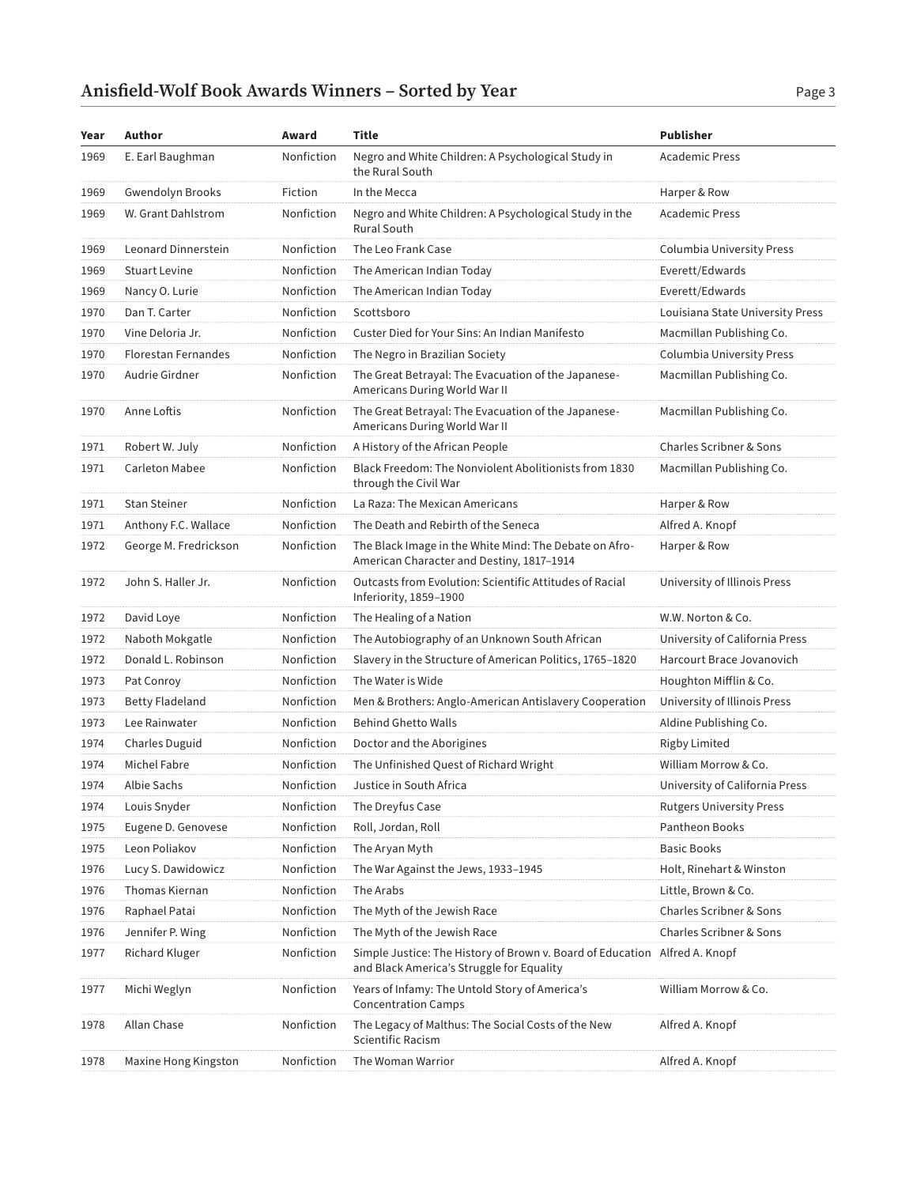| Year | Author                     | Award      | Title                                                                                                                   | <b>Publisher</b>                   |
|------|----------------------------|------------|-------------------------------------------------------------------------------------------------------------------------|------------------------------------|
| 1969 | E. Earl Baughman           | Nonfiction | Negro and White Children: A Psychological Study in<br>the Rural South                                                   | <b>Academic Press</b>              |
| 1969 | Gwendolyn Brooks           | Fiction    | In the Mecca                                                                                                            | Harper & Row                       |
| 1969 | W. Grant Dahlstrom         | Nonfiction | Negro and White Children: A Psychological Study in the<br><b>Rural South</b>                                            | <b>Academic Press</b>              |
| 1969 | Leonard Dinnerstein        | Nonfiction | The Leo Frank Case                                                                                                      | Columbia University Press          |
| 1969 | <b>Stuart Levine</b>       | Nonfiction | The American Indian Today                                                                                               | Everett/Edwards                    |
| 1969 | Nancy O. Lurie             | Nonfiction | The American Indian Today                                                                                               | Everett/Edwards                    |
| 1970 | Dan T. Carter              | Nonfiction | Scottsboro                                                                                                              | Louisiana State University Press   |
| 1970 | Vine Deloria Jr.           | Nonfiction | Custer Died for Your Sins: An Indian Manifesto                                                                          | Macmillan Publishing Co.           |
| 1970 | <b>Florestan Fernandes</b> | Nonfiction | The Negro in Brazilian Society                                                                                          | Columbia University Press          |
| 1970 | Audrie Girdner             | Nonfiction | The Great Betrayal: The Evacuation of the Japanese-<br>Americans During World War II                                    | Macmillan Publishing Co.           |
| 1970 | Anne Loftis                | Nonfiction | The Great Betrayal: The Evacuation of the Japanese-<br>Americans During World War II                                    | Macmillan Publishing Co.           |
| 1971 | Robert W. July             | Nonfiction | A History of the African People                                                                                         | <b>Charles Scribner &amp; Sons</b> |
| 1971 | Carleton Mabee             | Nonfiction | Black Freedom: The Nonviolent Abolitionists from 1830<br>through the Civil War                                          | Macmillan Publishing Co.           |
| 1971 | <b>Stan Steiner</b>        | Nonfiction | La Raza: The Mexican Americans                                                                                          | Harper & Row                       |
| 1971 | Anthony F.C. Wallace       | Nonfiction | The Death and Rebirth of the Seneca                                                                                     | Alfred A. Knopf                    |
| 1972 | George M. Fredrickson      | Nonfiction | The Black Image in the White Mind: The Debate on Afro-<br>American Character and Destiny, 1817-1914                     | Harper & Row                       |
| 1972 | John S. Haller Jr.         | Nonfiction | Outcasts from Evolution: Scientific Attitudes of Racial<br>Inferiority, 1859-1900                                       | University of Illinois Press       |
| 1972 | David Loye                 | Nonfiction | The Healing of a Nation                                                                                                 | W.W. Norton & Co.                  |
| 1972 | Naboth Mokgatle            | Nonfiction | The Autobiography of an Unknown South African                                                                           | University of California Press     |
| 1972 | Donald L. Robinson         | Nonfiction | Slavery in the Structure of American Politics, 1765-1820                                                                | Harcourt Brace Jovanovich          |
| 1973 | Pat Conroy                 | Nonfiction | The Water is Wide                                                                                                       | Houghton Mifflin & Co.             |
| 1973 | <b>Betty Fladeland</b>     | Nonfiction | Men & Brothers: Anglo-American Antislavery Cooperation                                                                  | University of Illinois Press       |
| 1973 | Lee Rainwater              | Nonfiction | <b>Behind Ghetto Walls</b>                                                                                              | Aldine Publishing Co.              |
| 1974 | Charles Duguid             | Nonfiction | Doctor and the Aborigines                                                                                               | <b>Rigby Limited</b>               |
| 1974 | Michel Fabre               | Nonfiction | The Unfinished Quest of Richard Wright                                                                                  | William Morrow & Co.               |
| 1974 | Albie Sachs                | Nonfiction | Justice in South Africa                                                                                                 | University of California Press     |
| 1974 | Louis Snyder               | Nonfiction | The Dreyfus Case                                                                                                        | <b>Rutgers University Press</b>    |
| 1975 | Eugene D. Genovese         | Nonfiction | Roll, Jordan, Roll                                                                                                      | Pantheon Books                     |
| 1975 | Leon Poliakov              | Nonfiction | The Aryan Myth                                                                                                          | <b>Basic Books</b>                 |
| 1976 | Lucy S. Dawidowicz         | Nonfiction | The War Against the Jews, 1933–1945                                                                                     | Holt, Rinehart & Winston           |
| 1976 | <b>Thomas Kiernan</b>      | Nonfiction | The Arabs                                                                                                               | Little, Brown & Co.                |
| 1976 | Raphael Patai              | Nonfiction | The Myth of the Jewish Race                                                                                             | <b>Charles Scribner &amp; Sons</b> |
| 1976 | Jennifer P. Wing           | Nonfiction | The Myth of the Jewish Race                                                                                             | Charles Scribner & Sons            |
| 1977 | Richard Kluger             | Nonfiction | Simple Justice: The History of Brown v. Board of Education Alfred A. Knopf<br>and Black America's Struggle for Equality |                                    |
| 1977 | Michi Weglyn               | Nonfiction | Years of Infamy: The Untold Story of America's<br><b>Concentration Camps</b>                                            | William Morrow & Co.               |
| 1978 | Allan Chase                | Nonfiction | The Legacy of Malthus: The Social Costs of the New<br>Scientific Racism                                                 | Alfred A. Knopf                    |
| 1978 | Maxine Hong Kingston       | Nonfiction | The Woman Warrior                                                                                                       | Alfred A. Knopf                    |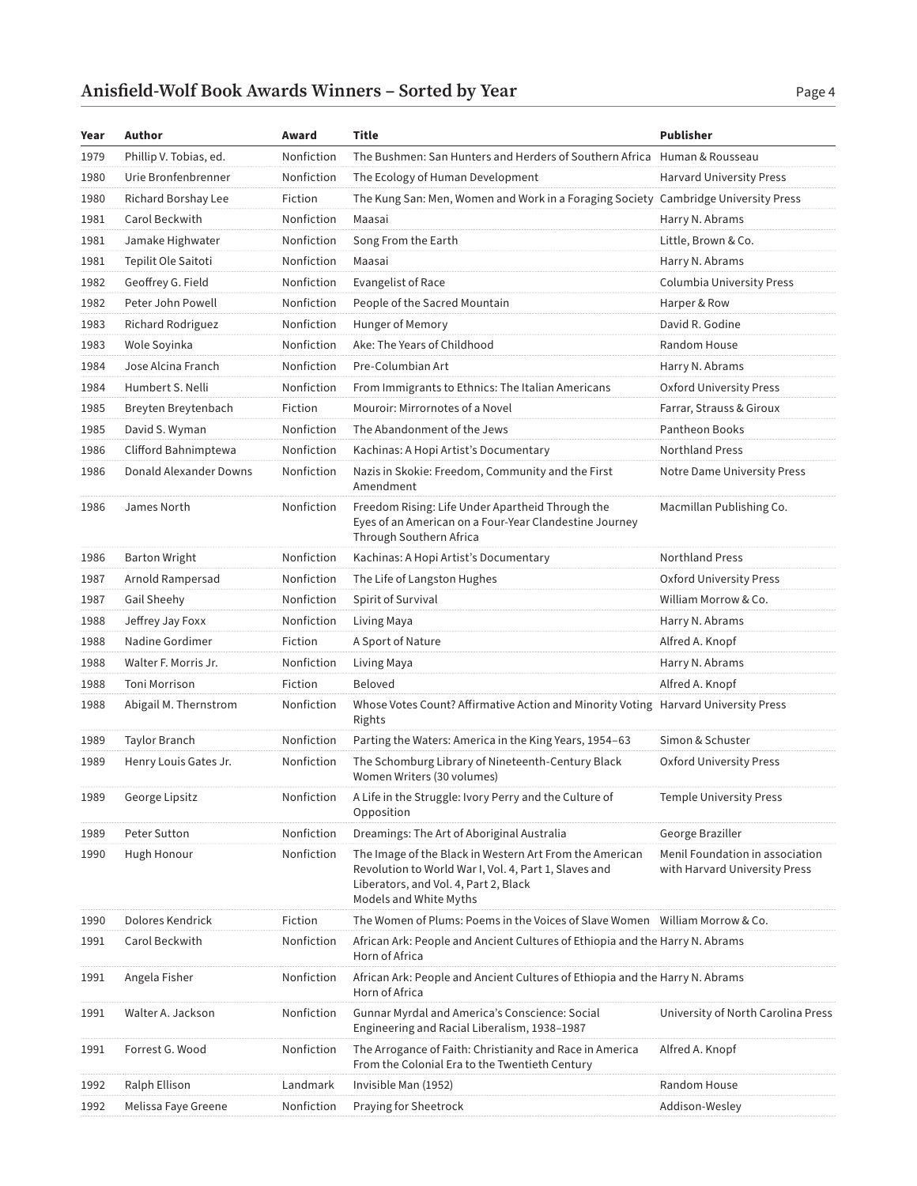| Year | Author                 | Award      | <b>Title</b>                                                                                                                                                                        | <b>Publisher</b>                                                 |
|------|------------------------|------------|-------------------------------------------------------------------------------------------------------------------------------------------------------------------------------------|------------------------------------------------------------------|
| 1979 | Phillip V. Tobias, ed. | Nonfiction | The Bushmen: San Hunters and Herders of Southern Africa Human & Rousseau                                                                                                            |                                                                  |
| 1980 | Urie Bronfenbrenner    | Nonfiction | The Ecology of Human Development                                                                                                                                                    | <b>Harvard University Press</b>                                  |
| 1980 | Richard Borshay Lee    | Fiction    | The Kung San: Men, Women and Work in a Foraging Society Cambridge University Press                                                                                                  |                                                                  |
| 1981 | Carol Beckwith         | Nonfiction | Maasai                                                                                                                                                                              | Harry N. Abrams                                                  |
| 1981 | Jamake Highwater       | Nonfiction | Song From the Earth                                                                                                                                                                 | Little, Brown & Co.                                              |
| 1981 | Tepilit Ole Saitoti    | Nonfiction | Maasai                                                                                                                                                                              | Harry N. Abrams                                                  |
| 1982 | Geoffrey G. Field      | Nonfiction | Evangelist of Race                                                                                                                                                                  | Columbia University Press                                        |
| 1982 | Peter John Powell      | Nonfiction | People of the Sacred Mountain                                                                                                                                                       | Harper & Row                                                     |
| 1983 | Richard Rodriguez      | Nonfiction | Hunger of Memory                                                                                                                                                                    | David R. Godine                                                  |
| 1983 | Wole Soyinka           | Nonfiction | Ake: The Years of Childhood                                                                                                                                                         | Random House                                                     |
| 1984 | Jose Alcina Franch     | Nonfiction | Pre-Columbian Art                                                                                                                                                                   | Harry N. Abrams                                                  |
| 1984 | Humbert S. Nelli       | Nonfiction | From Immigrants to Ethnics: The Italian Americans                                                                                                                                   | Oxford University Press                                          |
| 1985 | Breyten Breytenbach    | Fiction    | Mouroir: Mirrornotes of a Novel                                                                                                                                                     | Farrar, Strauss & Giroux                                         |
| 1985 | David S. Wyman         | Nonfiction | The Abandonment of the Jews                                                                                                                                                         | <b>Pantheon Books</b>                                            |
| 1986 | Clifford Bahnimptewa   | Nonfiction | Kachinas: A Hopi Artist's Documentary                                                                                                                                               | <b>Northland Press</b>                                           |
| 1986 | Donald Alexander Downs | Nonfiction | Nazis in Skokie: Freedom, Community and the First<br>Amendment                                                                                                                      | Notre Dame University Press                                      |
| 1986 | James North            | Nonfiction | Freedom Rising: Life Under Apartheid Through the<br>Eyes of an American on a Four-Year Clandestine Journey<br>Through Southern Africa                                               | Macmillan Publishing Co.                                         |
| 1986 | <b>Barton Wright</b>   | Nonfiction | Kachinas: A Hopi Artist's Documentary                                                                                                                                               | <b>Northland Press</b>                                           |
| 1987 | Arnold Rampersad       | Nonfiction | The Life of Langston Hughes                                                                                                                                                         | Oxford University Press                                          |
| 1987 | Gail Sheehy            | Nonfiction | Spirit of Survival                                                                                                                                                                  | William Morrow & Co.                                             |
| 1988 | Jeffrey Jay Foxx       | Nonfiction | Living Maya                                                                                                                                                                         | Harry N. Abrams                                                  |
| 1988 | Nadine Gordimer        | Fiction    | A Sport of Nature                                                                                                                                                                   | Alfred A. Knopf                                                  |
| 1988 | Walter F. Morris Jr.   | Nonfiction | Living Maya                                                                                                                                                                         | Harry N. Abrams                                                  |
| 1988 | Toni Morrison          | Fiction    | <b>Beloved</b>                                                                                                                                                                      | Alfred A. Knopf                                                  |
| 1988 | Abigail M. Thernstrom  | Nonfiction | Whose Votes Count? Affirmative Action and Minority Voting Harvard University Press<br>Rights                                                                                        |                                                                  |
| 1989 | Taylor Branch          | Nonfiction | Parting the Waters: America in the King Years, 1954-63                                                                                                                              | Simon & Schuster                                                 |
| 1989 | Henry Louis Gates Jr.  | Nonfiction | The Schomburg Library of Nineteenth-Century Black<br>Women Writers (30 volumes)                                                                                                     | Oxford University Press                                          |
| 1989 | George Lipsitz         |            | Nonfiction A Life in the Struggle: Ivory Perry and the Culture of<br>Opposition                                                                                                     | <b>Temple University Press</b>                                   |
| 1989 | Peter Sutton           | Nonfiction | Dreamings: The Art of Aboriginal Australia                                                                                                                                          | George Braziller                                                 |
| 1990 | Hugh Honour            | Nonfiction | The Image of the Black in Western Art From the American<br>Revolution to World War I, Vol. 4, Part 1, Slaves and<br>Liberators, and Vol. 4, Part 2, Black<br>Models and White Myths | Menil Foundation in association<br>with Harvard University Press |
| 1990 | Dolores Kendrick       | Fiction    | The Women of Plums: Poems in the Voices of Slave Women William Morrow & Co.                                                                                                         |                                                                  |
| 1991 | Carol Beckwith         | Nonfiction | African Ark: People and Ancient Cultures of Ethiopia and the Harry N. Abrams<br>Horn of Africa                                                                                      |                                                                  |
| 1991 | Angela Fisher          | Nonfiction | African Ark: People and Ancient Cultures of Ethiopia and the Harry N. Abrams<br>Horn of Africa                                                                                      |                                                                  |
| 1991 | Walter A. Jackson      | Nonfiction | Gunnar Myrdal and America's Conscience: Social<br>Engineering and Racial Liberalism, 1938-1987                                                                                      | University of North Carolina Press                               |
| 1991 | Forrest G. Wood        | Nonfiction | The Arrogance of Faith: Christianity and Race in America<br>From the Colonial Era to the Twentieth Century                                                                          | Alfred A. Knopf                                                  |
| 1992 | Ralph Ellison          | Landmark   | Invisible Man (1952)                                                                                                                                                                | Random House                                                     |
| 1992 | Melissa Faye Greene    | Nonfiction | Praying for Sheetrock                                                                                                                                                               | Addison-Wesley                                                   |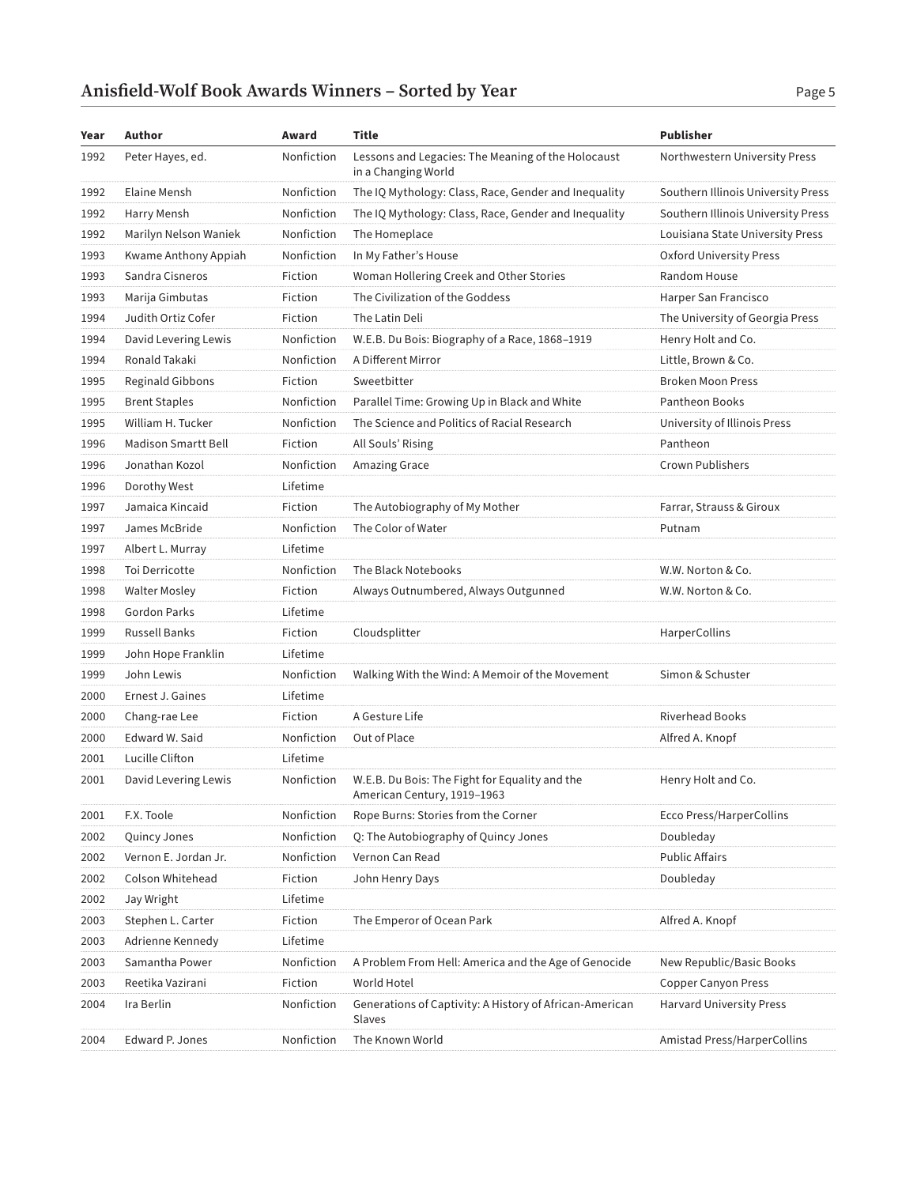#### Anisfield-Wolf Book Awards Winners – Sorted by Year Page 5

| Year | Author                     | Award      | Title                                                                         | Publisher                          |
|------|----------------------------|------------|-------------------------------------------------------------------------------|------------------------------------|
| 1992 | Peter Hayes, ed.           | Nonfiction | Lessons and Legacies: The Meaning of the Holocaust<br>in a Changing World     | Northwestern University Press      |
| 1992 | Elaine Mensh               | Nonfiction | The IQ Mythology: Class, Race, Gender and Inequality                          | Southern Illinois University Press |
| 1992 | Harry Mensh                | Nonfiction | The IQ Mythology: Class, Race, Gender and Inequality                          | Southern Illinois University Press |
| 1992 | Marilyn Nelson Waniek      | Nonfiction | The Homeplace                                                                 | Louisiana State University Press   |
| 1993 | Kwame Anthony Appiah       | Nonfiction | In My Father's House                                                          | Oxford University Press            |
| 1993 | Sandra Cisneros            | Fiction    | Woman Hollering Creek and Other Stories                                       | Random House                       |
| 1993 | Marija Gimbutas            | Fiction    | The Civilization of the Goddess                                               | Harper San Francisco               |
| 1994 | Judith Ortiz Cofer         | Fiction    | The Latin Deli                                                                | The University of Georgia Press    |
| 1994 | David Levering Lewis       | Nonfiction | W.E.B. Du Bois: Biography of a Race, 1868-1919                                | Henry Holt and Co.                 |
| 1994 | Ronald Takaki              | Nonfiction | A Different Mirror                                                            | Little, Brown & Co.                |
| 1995 | Reginald Gibbons           | Fiction    | Sweetbitter                                                                   | <b>Broken Moon Press</b>           |
| 1995 | <b>Brent Staples</b>       | Nonfiction | Parallel Time: Growing Up in Black and White                                  | Pantheon Books                     |
| 1995 | William H. Tucker          | Nonfiction | The Science and Politics of Racial Research                                   | University of Illinois Press       |
| 1996 | <b>Madison Smartt Bell</b> | Fiction    | All Souls' Rising                                                             | Pantheon                           |
| 1996 | Jonathan Kozol             | Nonfiction | Amazing Grace                                                                 | Crown Publishers                   |
| 1996 | Dorothy West               | Lifetime   |                                                                               |                                    |
| 1997 | Jamaica Kincaid            | Fiction    | The Autobiography of My Mother                                                | Farrar, Strauss & Giroux           |
| 1997 | James McBride              | Nonfiction | The Color of Water                                                            | Putnam                             |
| 1997 | Albert L. Murray           | Lifetime   |                                                                               |                                    |
| 1998 | Toi Derricotte             | Nonfiction | The Black Notebooks                                                           | W.W. Norton & Co.                  |
| 1998 | <b>Walter Mosley</b>       | Fiction    | Always Outnumbered, Always Outgunned                                          | W.W. Norton & Co.                  |
| 1998 | <b>Gordon Parks</b>        | Lifetime   |                                                                               |                                    |
| 1999 | <b>Russell Banks</b>       | Fiction    | Cloudsplitter                                                                 | HarperCollins                      |
| 1999 | John Hope Franklin         | Lifetime   |                                                                               |                                    |
| 1999 | John Lewis                 | Nonfiction | Walking With the Wind: A Memoir of the Movement                               | Simon & Schuster                   |
| 2000 | Ernest J. Gaines           | Lifetime   |                                                                               |                                    |
| 2000 | Chang-rae Lee              | Fiction    | A Gesture Life                                                                | <b>Riverhead Books</b>             |
| 2000 | Edward W. Said             | Nonfiction | Out of Place                                                                  | Alfred A. Knopf                    |
| 2001 | Lucille Clifton            | Lifetime   |                                                                               |                                    |
| 2001 | David Levering Lewis       | Nonfiction | W.E.B. Du Bois: The Fight for Equality and the<br>American Century, 1919-1963 | Henry Holt and Co.                 |
| 2001 | F.X. Toole                 | Nonfiction | Rope Burns: Stories from the Corner                                           | <b>Ecco Press/HarperCollins</b>    |
| 2002 | Quincy Jones               | Nonfiction | Q: The Autobiography of Quincy Jones                                          | Doubleday                          |
| 2002 | Vernon E. Jordan Jr.       | Nonfiction | Vernon Can Read                                                               | <b>Public Affairs</b>              |
| 2002 | Colson Whitehead           | Fiction    | John Henry Days                                                               | Doubleday                          |
| 2002 | Jay Wright                 | Lifetime   |                                                                               |                                    |
| 2003 | Stephen L. Carter          | Fiction    | The Emperor of Ocean Park                                                     | Alfred A. Knopf                    |
| 2003 | Adrienne Kennedy           | Lifetime   |                                                                               |                                    |
| 2003 | Samantha Power             | Nonfiction | A Problem From Hell: America and the Age of Genocide                          | New Republic/Basic Books           |
| 2003 | Reetika Vazirani           | Fiction    | World Hotel                                                                   | <b>Copper Canyon Press</b>         |
| 2004 | Ira Berlin                 | Nonfiction | Generations of Captivity: A History of African-American<br>Slaves             | Harvard University Press           |
| 2004 | Edward P. Jones            | Nonfiction | The Known World                                                               | Amistad Press/HarperCollins        |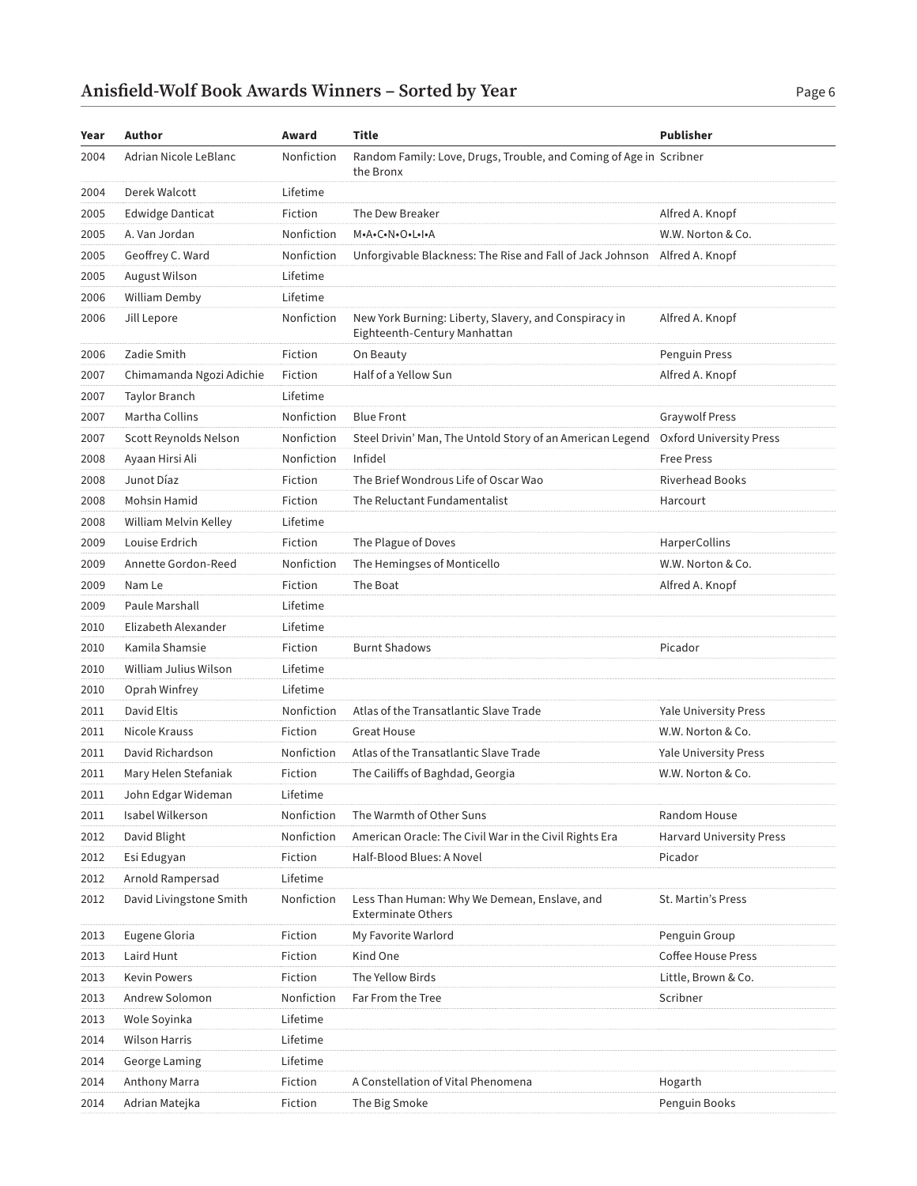| Year | Author                   | Award      | Title                                                                                 | <b>Publisher</b>                |
|------|--------------------------|------------|---------------------------------------------------------------------------------------|---------------------------------|
| 2004 | Adrian Nicole LeBlanc    | Nonfiction | Random Family: Love, Drugs, Trouble, and Coming of Age in Scribner<br>the Bronx       |                                 |
| 2004 | Derek Walcott            | Lifetime   |                                                                                       |                                 |
| 2005 | <b>Edwidge Danticat</b>  | Fiction    | The Dew Breaker                                                                       | Alfred A. Knopf                 |
| 2005 | A. Van Jordan            | Nonfiction | M.A.C.N.O.L.I.A                                                                       | W.W. Norton & Co.               |
| 2005 | Geoffrey C. Ward         | Nonfiction | Unforgivable Blackness: The Rise and Fall of Jack Johnson Alfred A. Knopf             |                                 |
| 2005 | August Wilson            | Lifetime   |                                                                                       |                                 |
| 2006 | William Demby            | Lifetime   |                                                                                       |                                 |
| 2006 | Jill Lepore              | Nonfiction | New York Burning: Liberty, Slavery, and Conspiracy in<br>Eighteenth-Century Manhattan | Alfred A. Knopf                 |
| 2006 | Zadie Smith              | Fiction    | On Beauty                                                                             | Penguin Press                   |
| 2007 | Chimamanda Ngozi Adichie | Fiction    | Half of a Yellow Sun                                                                  | Alfred A. Knopf                 |
| 2007 | Taylor Branch            | Lifetime   |                                                                                       |                                 |
| 2007 | Martha Collins           | Nonfiction | <b>Blue Front</b>                                                                     | <b>Graywolf Press</b>           |
| 2007 | Scott Reynolds Nelson    | Nonfiction | Steel Drivin' Man, The Untold Story of an American Legend                             | <b>Oxford University Press</b>  |
| 2008 | Ayaan Hirsi Ali          | Nonfiction | Infidel                                                                               | <b>Free Press</b>               |
| 2008 | Junot Díaz               | Fiction    | The Brief Wondrous Life of Oscar Wao                                                  | <b>Riverhead Books</b>          |
| 2008 | Mohsin Hamid             | Fiction    | The Reluctant Fundamentalist                                                          | Harcourt                        |
| 2008 | William Melvin Kelley    | Lifetime   |                                                                                       |                                 |
| 2009 | Louise Erdrich           | Fiction    | The Plague of Doves                                                                   | <b>HarperCollins</b>            |
| 2009 | Annette Gordon-Reed      | Nonfiction | The Hemingses of Monticello                                                           | W.W. Norton & Co.               |
| 2009 | Nam Le                   | Fiction    | The Boat                                                                              | Alfred A. Knopf                 |
| 2009 | Paule Marshall           | Lifetime   |                                                                                       |                                 |
| 2010 | Elizabeth Alexander      | Lifetime   |                                                                                       |                                 |
| 2010 | Kamila Shamsie           | Fiction    | <b>Burnt Shadows</b>                                                                  | Picador                         |
| 2010 | William Julius Wilson    | Lifetime   |                                                                                       |                                 |
| 2010 | Oprah Winfrey            | Lifetime   |                                                                                       |                                 |
| 2011 | David Eltis              | Nonfiction | Atlas of the Transatlantic Slave Trade                                                | <b>Yale University Press</b>    |
| 2011 | Nicole Krauss            | Fiction    | <b>Great House</b>                                                                    | W.W. Norton & Co.               |
| 2011 | David Richardson         | Nonfiction | Atlas of the Transatlantic Slave Trade                                                | <b>Yale University Press</b>    |
| 2011 | Mary Helen Stefaniak     | Fiction    | The Cailiffs of Baghdad, Georgia                                                      | W.W. Norton & Co.               |
| 2011 | John Edgar Wideman       | Lifetime   |                                                                                       |                                 |
| 2011 | Isabel Wilkerson         | Nonfiction | The Warmth of Other Suns                                                              | Random House                    |
| 2012 | David Blight             | Nonfiction | American Oracle: The Civil War in the Civil Rights Era                                | <b>Harvard University Press</b> |
| 2012 | Esi Edugyan              | Fiction    | Half-Blood Blues: A Novel                                                             | Picador                         |
| 2012 | Arnold Rampersad         | Lifetime   |                                                                                       |                                 |
| 2012 | David Livingstone Smith  | Nonfiction | Less Than Human: Why We Demean, Enslave, and<br><b>Exterminate Others</b>             | St. Martin's Press              |
| 2013 | Eugene Gloria            | Fiction    | My Favorite Warlord                                                                   | Penguin Group                   |
| 2013 | Laird Hunt               | Fiction    | Kind One                                                                              | <b>Coffee House Press</b>       |
| 2013 | <b>Kevin Powers</b>      | Fiction    | The Yellow Birds                                                                      | Little, Brown & Co.             |
| 2013 | Andrew Solomon           | Nonfiction | Far From the Tree                                                                     | Scribner                        |
| 2013 | Wole Soyinka             | Lifetime   |                                                                                       |                                 |
| 2014 | <b>Wilson Harris</b>     | Lifetime   |                                                                                       |                                 |
| 2014 | George Laming            | Lifetime   |                                                                                       |                                 |
| 2014 | Anthony Marra            | Fiction    | A Constellation of Vital Phenomena                                                    | Hogarth                         |
| 2014 | Adrian Matejka           | Fiction    | The Big Smoke                                                                         | Penguin Books                   |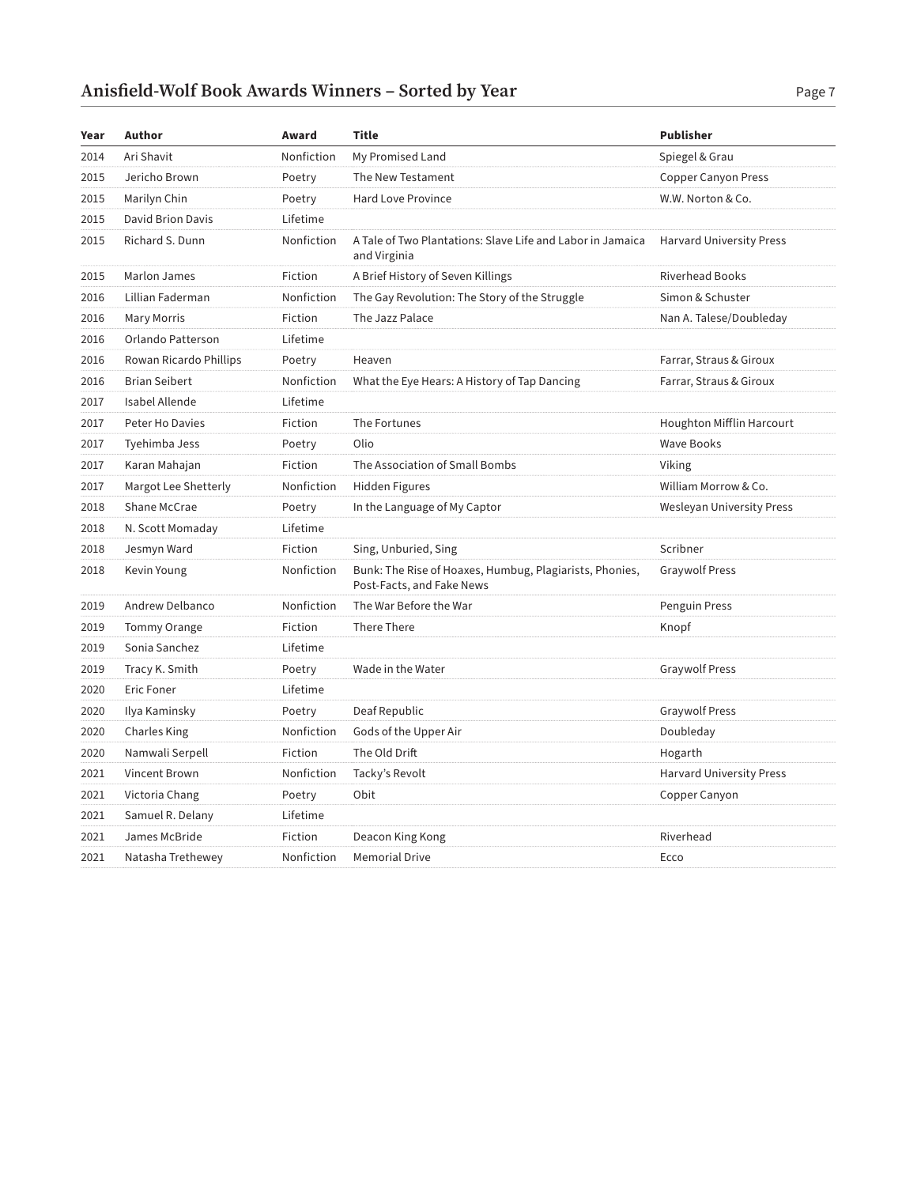| Year | Author                   | Award      | <b>Title</b>                                                                         | <b>Publisher</b>                |
|------|--------------------------|------------|--------------------------------------------------------------------------------------|---------------------------------|
| 2014 | Ari Shavit               | Nonfiction | My Promised Land                                                                     | Spiegel & Grau                  |
| 2015 | Jericho Brown            | Poetry     | The New Testament                                                                    | <b>Copper Canyon Press</b>      |
| 2015 | Marilyn Chin             | Poetry     | <b>Hard Love Province</b>                                                            | W.W. Norton & Co.               |
| 2015 | <b>David Brion Davis</b> | Lifetime   |                                                                                      |                                 |
| 2015 | Richard S. Dunn          | Nonfiction | A Tale of Two Plantations: Slave Life and Labor in Jamaica<br>and Virginia           | <b>Harvard University Press</b> |
| 2015 | Marlon James             | Fiction    | A Brief History of Seven Killings                                                    | <b>Riverhead Books</b>          |
| 2016 | Lillian Faderman         | Nonfiction | The Gay Revolution: The Story of the Struggle                                        | Simon & Schuster                |
| 2016 | <b>Mary Morris</b>       | Fiction    | The Jazz Palace                                                                      | Nan A. Talese/Doubleday         |
| 2016 | Orlando Patterson        | Lifetime   |                                                                                      |                                 |
| 2016 | Rowan Ricardo Phillips   | Poetry     | Heaven                                                                               | Farrar, Straus & Giroux         |
| 2016 | <b>Brian Seibert</b>     | Nonfiction | What the Eye Hears: A History of Tap Dancing                                         | Farrar, Straus & Giroux         |
| 2017 | Isabel Allende           | Lifetime   |                                                                                      |                                 |
| 2017 | Peter Ho Davies          | Fiction    | The Fortunes                                                                         | Houghton Mifflin Harcourt       |
| 2017 | Tyehimba Jess            | Poetry     | Olio                                                                                 | <b>Wave Books</b>               |
| 2017 | Karan Mahajan            | Fiction    | The Association of Small Bombs                                                       | Viking                          |
| 2017 | Margot Lee Shetterly     | Nonfiction | <b>Hidden Figures</b>                                                                | William Morrow & Co.            |
| 2018 | Shane McCrae             | Poetry     | In the Language of My Captor                                                         | Wesleyan University Press       |
| 2018 | N. Scott Momaday         | Lifetime   |                                                                                      |                                 |
| 2018 | Jesmyn Ward              | Fiction    | Sing, Unburied, Sing                                                                 | Scribner                        |
| 2018 | Kevin Young              | Nonfiction | Bunk: The Rise of Hoaxes, Humbug, Plagiarists, Phonies,<br>Post-Facts, and Fake News | <b>Graywolf Press</b>           |
| 2019 | Andrew Delbanco          | Nonfiction | The War Before the War                                                               | Penguin Press                   |
| 2019 | <b>Tommy Orange</b>      | Fiction    | There There                                                                          | Knopf                           |
| 2019 | Sonia Sanchez            | Lifetime   |                                                                                      |                                 |
| 2019 | Tracy K. Smith           | Poetry     | Wade in the Water                                                                    | <b>Graywolf Press</b>           |
| 2020 | <b>Eric Foner</b>        | Lifetime   |                                                                                      |                                 |
| 2020 | Ilya Kaminsky            | Poetry     | Deaf Republic                                                                        | <b>Graywolf Press</b>           |
| 2020 | Charles King             | Nonfiction | Gods of the Upper Air                                                                | Doubleday                       |
| 2020 | Namwali Serpell          | Fiction    | The Old Drift                                                                        | Hogarth                         |
| 2021 | Vincent Brown            | Nonfiction | Tacky's Revolt                                                                       | <b>Harvard University Press</b> |
| 2021 | Victoria Chang           | Poetry     | Obit                                                                                 | Copper Canyon                   |
| 2021 | Samuel R. Delany         | Lifetime   |                                                                                      |                                 |
| 2021 | James McBride            | Fiction    | Deacon King Kong                                                                     | Riverhead                       |
| 2021 | Natasha Trethewey        | Nonfiction | <b>Memorial Drive</b>                                                                | Ecco                            |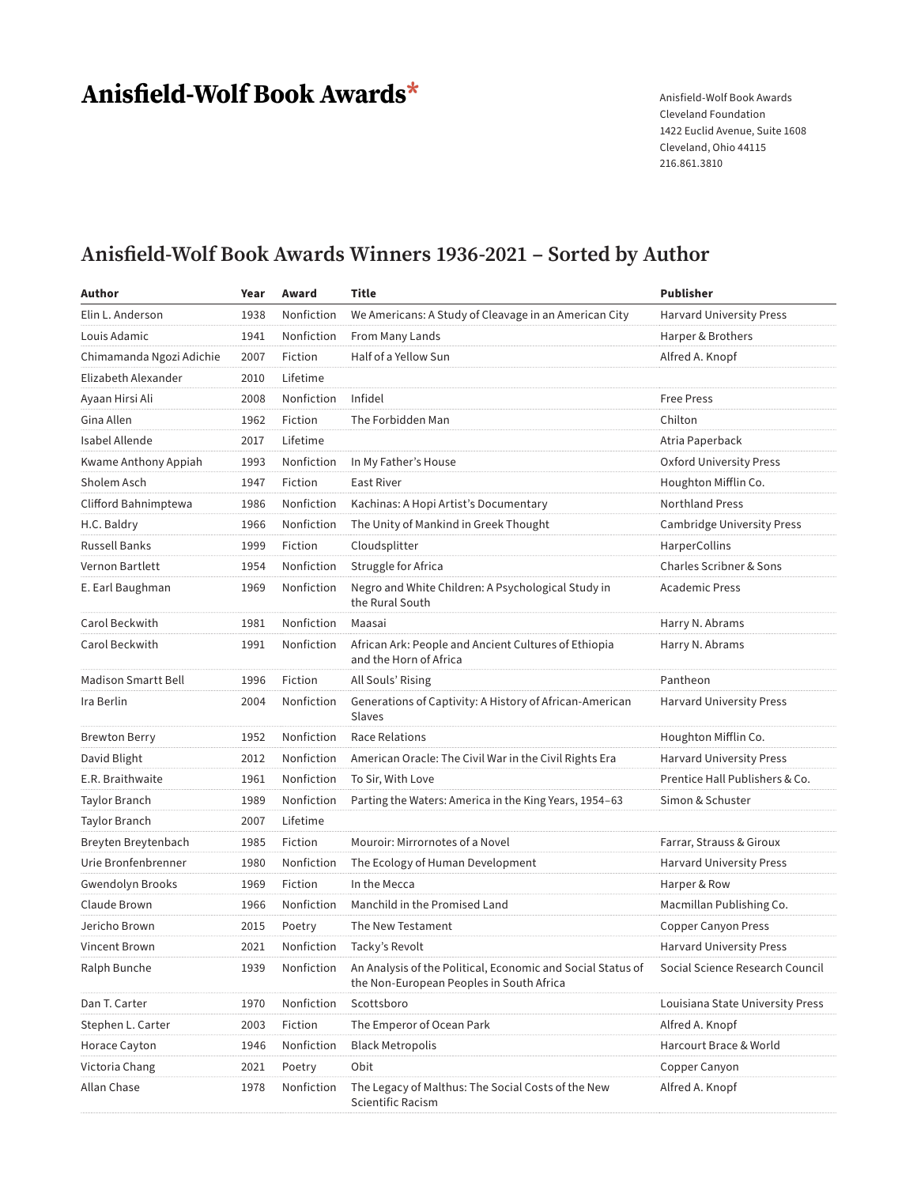# Anisfield-Wolf Book Awards\*

Anisfield-Wolf Book Awards Cleveland Foundation 1422 Euclid Avenue, Suite 1608 Cleveland, Ohio 44115 216.861.3810

### **Anisfield-Wolf Book Awards Winners 1936-2021 – Sorted by Author**

| Author                     | Year | Award      | <b>Title</b>                                                                                            | <b>Publisher</b>                 |
|----------------------------|------|------------|---------------------------------------------------------------------------------------------------------|----------------------------------|
| Elin L. Anderson           | 1938 | Nonfiction | We Americans: A Study of Cleavage in an American City                                                   | <b>Harvard University Press</b>  |
| Louis Adamic               | 1941 | Nonfiction | From Many Lands                                                                                         | Harper & Brothers                |
| Chimamanda Ngozi Adichie   | 2007 | Fiction    | Half of a Yellow Sun                                                                                    | Alfred A. Knopf                  |
| Elizabeth Alexander        | 2010 | Lifetime   |                                                                                                         |                                  |
| Ayaan Hirsi Ali            | 2008 | Nonfiction | Infidel                                                                                                 | <b>Free Press</b>                |
| Gina Allen                 | 1962 | Fiction    | The Forbidden Man                                                                                       | Chilton                          |
| Isabel Allende             | 2017 | Lifetime   |                                                                                                         | Atria Paperback                  |
| Kwame Anthony Appiah       | 1993 | Nonfiction | In My Father's House                                                                                    | Oxford University Press          |
| Sholem Asch                | 1947 | Fiction    | <b>East River</b>                                                                                       | Houghton Mifflin Co.             |
| Clifford Bahnimptewa       | 1986 | Nonfiction | Kachinas: A Hopi Artist's Documentary                                                                   | <b>Northland Press</b>           |
| H.C. Baldry                | 1966 | Nonfiction | The Unity of Mankind in Greek Thought                                                                   | Cambridge University Press       |
| <b>Russell Banks</b>       | 1999 | Fiction    | Cloudsplitter                                                                                           | <b>HarperCollins</b>             |
| Vernon Bartlett            | 1954 | Nonfiction | Struggle for Africa                                                                                     | Charles Scribner & Sons          |
| E. Earl Baughman           | 1969 | Nonfiction | Negro and White Children: A Psychological Study in<br>the Rural South                                   | Academic Press                   |
| Carol Beckwith             | 1981 | Nonfiction | Maasai                                                                                                  | Harry N. Abrams                  |
| Carol Beckwith             | 1991 | Nonfiction | African Ark: People and Ancient Cultures of Ethiopia<br>and the Horn of Africa                          | Harry N. Abrams                  |
| <b>Madison Smartt Bell</b> | 1996 | Fiction    | All Souls' Rising                                                                                       | Pantheon                         |
| Ira Berlin                 | 2004 | Nonfiction | Generations of Captivity: A History of African-American<br>Slaves                                       | Harvard University Press         |
| <b>Brewton Berry</b>       | 1952 | Nonfiction | <b>Race Relations</b>                                                                                   | Houghton Mifflin Co.             |
| David Blight               | 2012 | Nonfiction | American Oracle: The Civil War in the Civil Rights Era                                                  | <b>Harvard University Press</b>  |
| E.R. Braithwaite           | 1961 | Nonfiction | To Sir, With Love                                                                                       | Prentice Hall Publishers & Co.   |
| <b>Taylor Branch</b>       | 1989 | Nonfiction | Parting the Waters: America in the King Years, 1954–63                                                  | Simon & Schuster                 |
| <b>Taylor Branch</b>       | 2007 | Lifetime   |                                                                                                         |                                  |
| Breyten Breytenbach        | 1985 | Fiction    | Mouroir: Mirrornotes of a Novel                                                                         | Farrar, Strauss & Giroux         |
| Urie Bronfenbrenner        | 1980 | Nonfiction | The Ecology of Human Development                                                                        | <b>Harvard University Press</b>  |
| <b>Gwendolyn Brooks</b>    | 1969 | Fiction    | In the Mecca                                                                                            | Harper & Row                     |
| Claude Brown               | 1966 | Nonfiction | Manchild in the Promised Land                                                                           | Macmillan Publishing Co.         |
| Jericho Brown              | 2015 | Poetry     | The New Testament                                                                                       | <b>Copper Canyon Press</b>       |
| Vincent Brown              | 2021 | Nonfiction | Tacky's Revolt                                                                                          | <b>Harvard University Press</b>  |
| Ralph Bunche               | 1939 | Nonfiction | An Analysis of the Political, Economic and Social Status of<br>the Non-European Peoples in South Africa | Social Science Research Council  |
| Dan T. Carter              | 1970 | Nonfiction | Scottsboro                                                                                              | Louisiana State University Press |
| Stephen L. Carter          | 2003 | Fiction    | The Emperor of Ocean Park                                                                               | Alfred A. Knopf                  |
| Horace Cayton              | 1946 | Nonfiction | <b>Black Metropolis</b>                                                                                 | Harcourt Brace & World           |
| Victoria Chang             | 2021 | Poetry     | Obit                                                                                                    | Copper Canyon                    |
| Allan Chase                | 1978 | Nonfiction | The Legacy of Malthus: The Social Costs of the New<br>Scientific Racism                                 | Alfred A. Knopf                  |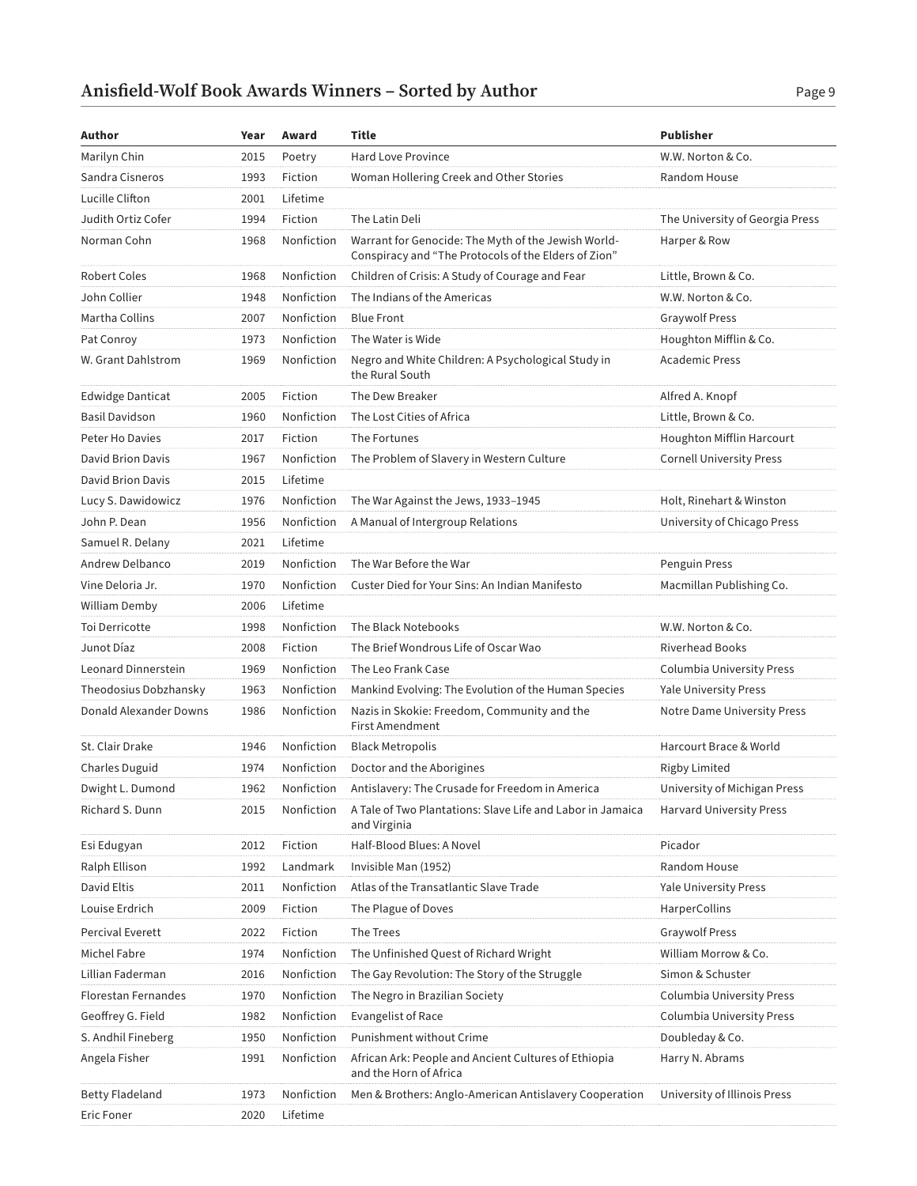| Author                     | Year | Award      | Title                                                                                                       | <b>Publisher</b>                |
|----------------------------|------|------------|-------------------------------------------------------------------------------------------------------------|---------------------------------|
| Marilyn Chin               | 2015 | Poetry     | <b>Hard Love Province</b>                                                                                   | W.W. Norton & Co.               |
| Sandra Cisneros            | 1993 | Fiction    | Woman Hollering Creek and Other Stories                                                                     | Random House                    |
| Lucille Clifton            | 2001 | Lifetime   |                                                                                                             |                                 |
| Judith Ortiz Cofer         | 1994 | Fiction    | The Latin Deli                                                                                              | The University of Georgia Press |
| Norman Cohn                | 1968 | Nonfiction | Warrant for Genocide: The Myth of the Jewish World-<br>Conspiracy and "The Protocols of the Elders of Zion" | Harper & Row                    |
| <b>Robert Coles</b>        | 1968 | Nonfiction | Children of Crisis: A Study of Courage and Fear                                                             | Little, Brown & Co.             |
| John Collier               | 1948 | Nonfiction | The Indians of the Americas                                                                                 | W.W. Norton & Co.               |
| Martha Collins             | 2007 | Nonfiction | <b>Blue Front</b>                                                                                           | <b>Graywolf Press</b>           |
| Pat Conroy                 | 1973 | Nonfiction | The Water is Wide                                                                                           | Houghton Mifflin & Co.          |
| W. Grant Dahlstrom         | 1969 | Nonfiction | Negro and White Children: A Psychological Study in<br>the Rural South                                       | <b>Academic Press</b>           |
| <b>Edwidge Danticat</b>    | 2005 | Fiction    | The Dew Breaker                                                                                             | Alfred A. Knopf                 |
| <b>Basil Davidson</b>      | 1960 | Nonfiction | The Lost Cities of Africa                                                                                   | Little, Brown & Co.             |
| Peter Ho Davies            | 2017 | Fiction    | The Fortunes                                                                                                | Houghton Mifflin Harcourt       |
| David Brion Davis          | 1967 | Nonfiction | The Problem of Slavery in Western Culture                                                                   | <b>Cornell University Press</b> |
| David Brion Davis          | 2015 | Lifetime   |                                                                                                             |                                 |
| Lucy S. Dawidowicz         | 1976 | Nonfiction | The War Against the Jews, 1933-1945                                                                         | Holt, Rinehart & Winston        |
| John P. Dean               | 1956 | Nonfiction | A Manual of Intergroup Relations                                                                            | University of Chicago Press     |
| Samuel R. Delany           | 2021 | Lifetime   |                                                                                                             |                                 |
| Andrew Delbanco            | 2019 | Nonfiction | The War Before the War                                                                                      | Penguin Press                   |
| Vine Deloria Jr.           | 1970 | Nonfiction | Custer Died for Your Sins: An Indian Manifesto                                                              | Macmillan Publishing Co.        |
| William Demby              | 2006 | Lifetime   |                                                                                                             |                                 |
| Toi Derricotte             | 1998 | Nonfiction | The Black Notebooks                                                                                         | W.W. Norton & Co.               |
| Junot Díaz                 | 2008 | Fiction    | The Brief Wondrous Life of Oscar Wao                                                                        | <b>Riverhead Books</b>          |
| Leonard Dinnerstein        | 1969 | Nonfiction | The Leo Frank Case                                                                                          | Columbia University Press       |
| Theodosius Dobzhansky      | 1963 | Nonfiction | Mankind Evolving: The Evolution of the Human Species                                                        | <b>Yale University Press</b>    |
| Donald Alexander Downs     | 1986 | Nonfiction | Nazis in Skokie: Freedom, Community and the<br>First Amendment                                              | Notre Dame University Press     |
| St. Clair Drake            | 1946 | Nonfiction | <b>Black Metropolis</b>                                                                                     | Harcourt Brace & World          |
| <b>Charles Duguid</b>      | 1974 | Nonfiction | Doctor and the Aborigines                                                                                   | <b>Rigby Limited</b>            |
| Dwight L. Dumond           | 1962 | Nonfiction | Antislavery: The Crusade for Freedom in America                                                             | University of Michigan Press    |
| Richard S. Dunn            | 2015 | Nonfiction | A Tale of Two Plantations: Slave Life and Labor in Jamaica<br>and Virginia                                  | <b>Harvard University Press</b> |
| Esi Edugyan                | 2012 | Fiction    | Half-Blood Blues: A Novel                                                                                   | Picador                         |
| Ralph Ellison              | 1992 | Landmark   | Invisible Man (1952)                                                                                        | Random House                    |
| David Eltis                | 2011 | Nonfiction | Atlas of the Transatlantic Slave Trade                                                                      | Yale University Press           |
| Louise Erdrich             | 2009 | Fiction    | The Plague of Doves                                                                                         | HarperCollins                   |
| <b>Percival Everett</b>    | 2022 | Fiction    | The Trees                                                                                                   | <b>Graywolf Press</b>           |
| Michel Fabre               | 1974 | Nonfiction | The Unfinished Quest of Richard Wright                                                                      | William Morrow & Co.            |
| Lillian Faderman           | 2016 | Nonfiction | The Gay Revolution: The Story of the Struggle                                                               | Simon & Schuster                |
| <b>Florestan Fernandes</b> | 1970 | Nonfiction | The Negro in Brazilian Society                                                                              | Columbia University Press       |
| Geoffrey G. Field          | 1982 | Nonfiction | <b>Evangelist of Race</b>                                                                                   | Columbia University Press       |
| S. Andhil Fineberg         | 1950 | Nonfiction | Punishment without Crime                                                                                    | Doubleday & Co.                 |
| Angela Fisher              | 1991 | Nonfiction | African Ark: People and Ancient Cultures of Ethiopia<br>and the Horn of Africa                              | Harry N. Abrams                 |
| <b>Betty Fladeland</b>     | 1973 | Nonfiction | Men & Brothers: Anglo-American Antislavery Cooperation                                                      | University of Illinois Press    |
| <b>Eric Foner</b>          | 2020 | Lifetime   |                                                                                                             |                                 |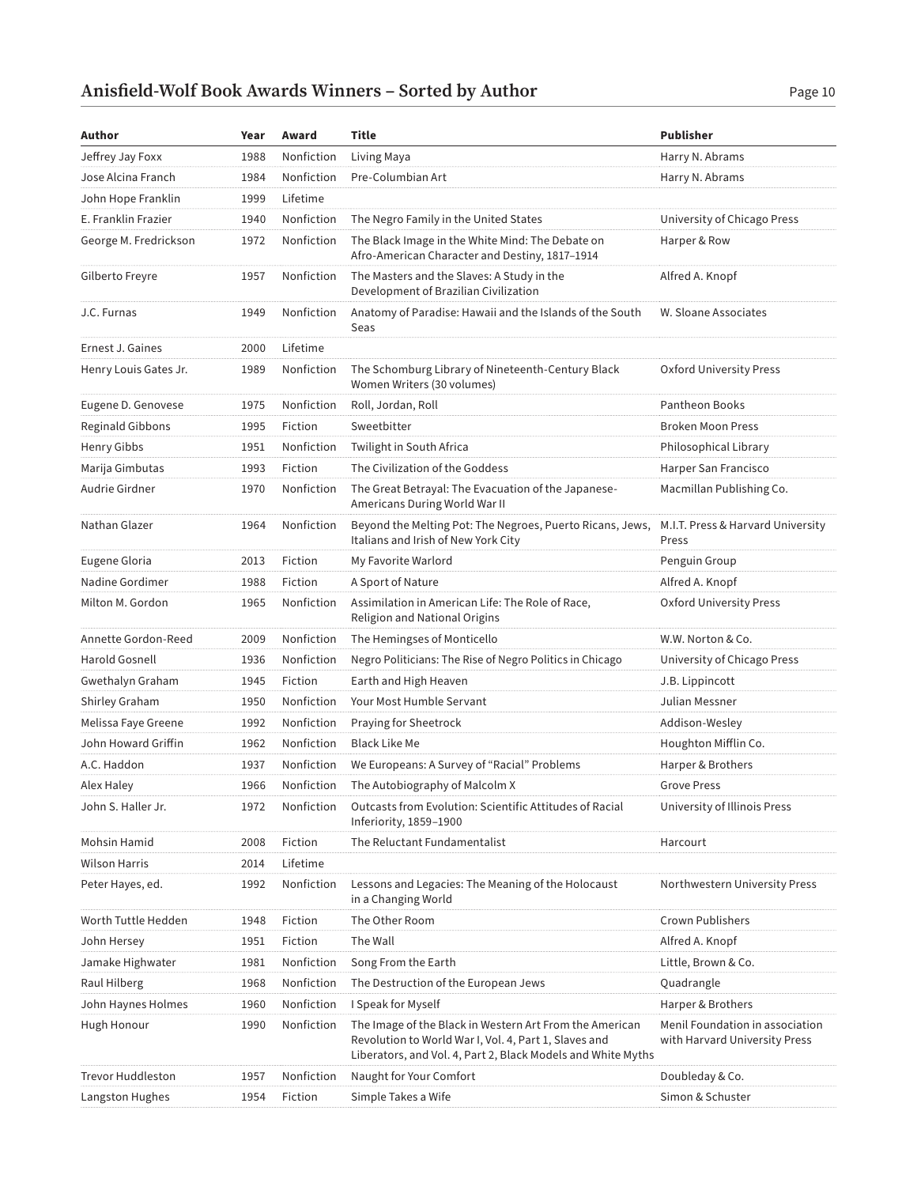| Author                | Year | Award      | Title                                                                                                                                                                            | <b>Publisher</b>                                                 |
|-----------------------|------|------------|----------------------------------------------------------------------------------------------------------------------------------------------------------------------------------|------------------------------------------------------------------|
| Jeffrey Jay Foxx      | 1988 | Nonfiction | Living Maya                                                                                                                                                                      | Harry N. Abrams                                                  |
| Jose Alcina Franch    | 1984 | Nonfiction | Pre-Columbian Art                                                                                                                                                                | Harry N. Abrams                                                  |
| John Hope Franklin    | 1999 | Lifetime   |                                                                                                                                                                                  |                                                                  |
| E. Franklin Frazier   | 1940 | Nonfiction | The Negro Family in the United States                                                                                                                                            | University of Chicago Press                                      |
| George M. Fredrickson | 1972 | Nonfiction | The Black Image in the White Mind: The Debate on<br>Afro-American Character and Destiny, 1817-1914                                                                               | Harper & Row                                                     |
| Gilberto Freyre       | 1957 | Nonfiction | The Masters and the Slaves: A Study in the<br>Development of Brazilian Civilization                                                                                              | Alfred A. Knopf                                                  |
| J.C. Furnas           | 1949 | Nonfiction | Anatomy of Paradise: Hawaii and the Islands of the South<br>Seas                                                                                                                 | W. Sloane Associates                                             |
| Ernest J. Gaines      | 2000 | Lifetime   |                                                                                                                                                                                  |                                                                  |
| Henry Louis Gates Jr. | 1989 | Nonfiction | The Schomburg Library of Nineteenth-Century Black<br>Women Writers (30 volumes)                                                                                                  | Oxford University Press                                          |
| Eugene D. Genovese    | 1975 | Nonfiction | Roll, Jordan, Roll                                                                                                                                                               | Pantheon Books                                                   |
| Reginald Gibbons      | 1995 | Fiction    | Sweetbitter                                                                                                                                                                      | <b>Broken Moon Press</b>                                         |
| Henry Gibbs           | 1951 | Nonfiction | Twilight in South Africa                                                                                                                                                         | Philosophical Library                                            |
| Marija Gimbutas       | 1993 | Fiction    | The Civilization of the Goddess                                                                                                                                                  | Harper San Francisco                                             |
| Audrie Girdner        | 1970 | Nonfiction | The Great Betrayal: The Evacuation of the Japanese-<br>Americans During World War II                                                                                             | Macmillan Publishing Co.                                         |
| Nathan Glazer         | 1964 | Nonfiction | Beyond the Melting Pot: The Negroes, Puerto Ricans, Jews,<br>Italians and Irish of New York City                                                                                 | M.I.T. Press & Harvard University<br>Press                       |
| Eugene Gloria         | 2013 | Fiction    | My Favorite Warlord                                                                                                                                                              | Penguin Group                                                    |
| Nadine Gordimer       | 1988 | Fiction    | A Sport of Nature                                                                                                                                                                | Alfred A. Knopf                                                  |
| Milton M. Gordon      | 1965 | Nonfiction | Assimilation in American Life: The Role of Race,<br>Religion and National Origins                                                                                                | Oxford University Press                                          |
| Annette Gordon-Reed   | 2009 | Nonfiction | The Hemingses of Monticello                                                                                                                                                      | W.W. Norton & Co.                                                |
| Harold Gosnell        | 1936 | Nonfiction | Negro Politicians: The Rise of Negro Politics in Chicago                                                                                                                         | University of Chicago Press                                      |
| Gwethalyn Graham      | 1945 | Fiction    | Earth and High Heaven                                                                                                                                                            | J.B. Lippincott                                                  |
| Shirley Graham        | 1950 | Nonfiction | Your Most Humble Servant                                                                                                                                                         | Julian Messner                                                   |
| Melissa Faye Greene   | 1992 | Nonfiction | Praying for Sheetrock                                                                                                                                                            | Addison-Wesley                                                   |
| John Howard Griffin   | 1962 | Nonfiction | <b>Black Like Me</b>                                                                                                                                                             | Houghton Mifflin Co.                                             |
| A.C. Haddon           | 1937 | Nonfiction | We Europeans: A Survey of "Racial" Problems                                                                                                                                      | Harper & Brothers                                                |
| Alex Haley            | 1966 | Nonfiction | The Autobiography of Malcolm X                                                                                                                                                   | <b>Grove Press</b>                                               |
| John S. Haller Jr.    | 1972 | Nonfiction | Outcasts from Evolution: Scientific Attitudes of Racial<br>Inferiority, 1859-1900                                                                                                | University of Illinois Press                                     |
| Mohsin Hamid          | 2008 | Fiction    | The Reluctant Fundamentalist                                                                                                                                                     | Harcourt                                                         |
| <b>Wilson Harris</b>  | 2014 | Lifetime   |                                                                                                                                                                                  |                                                                  |
| Peter Hayes, ed.      | 1992 | Nonfiction | Lessons and Legacies: The Meaning of the Holocaust<br>in a Changing World                                                                                                        | Northwestern University Press                                    |
| Worth Tuttle Hedden   | 1948 | Fiction    | The Other Room                                                                                                                                                                   | <b>Crown Publishers</b>                                          |
| John Hersey           | 1951 | Fiction    | The Wall                                                                                                                                                                         | Alfred A. Knopf                                                  |
| Jamake Highwater      | 1981 | Nonfiction | Song From the Earth                                                                                                                                                              | Little, Brown & Co.                                              |
| Raul Hilberg          | 1968 | Nonfiction | The Destruction of the European Jews                                                                                                                                             | Quadrangle                                                       |
| John Haynes Holmes    | 1960 | Nonfiction | I Speak for Myself                                                                                                                                                               | Harper & Brothers                                                |
| Hugh Honour           | 1990 | Nonfiction | The Image of the Black in Western Art From the American<br>Revolution to World War I, Vol. 4, Part 1, Slaves and<br>Liberators, and Vol. 4, Part 2, Black Models and White Myths | Menil Foundation in association<br>with Harvard University Press |
| Trevor Huddleston     | 1957 | Nonfiction | Naught for Your Comfort                                                                                                                                                          | Doubleday & Co.                                                  |
| Langston Hughes       | 1954 | Fiction    | Simple Takes a Wife                                                                                                                                                              | Simon & Schuster                                                 |
|                       |      |            |                                                                                                                                                                                  |                                                                  |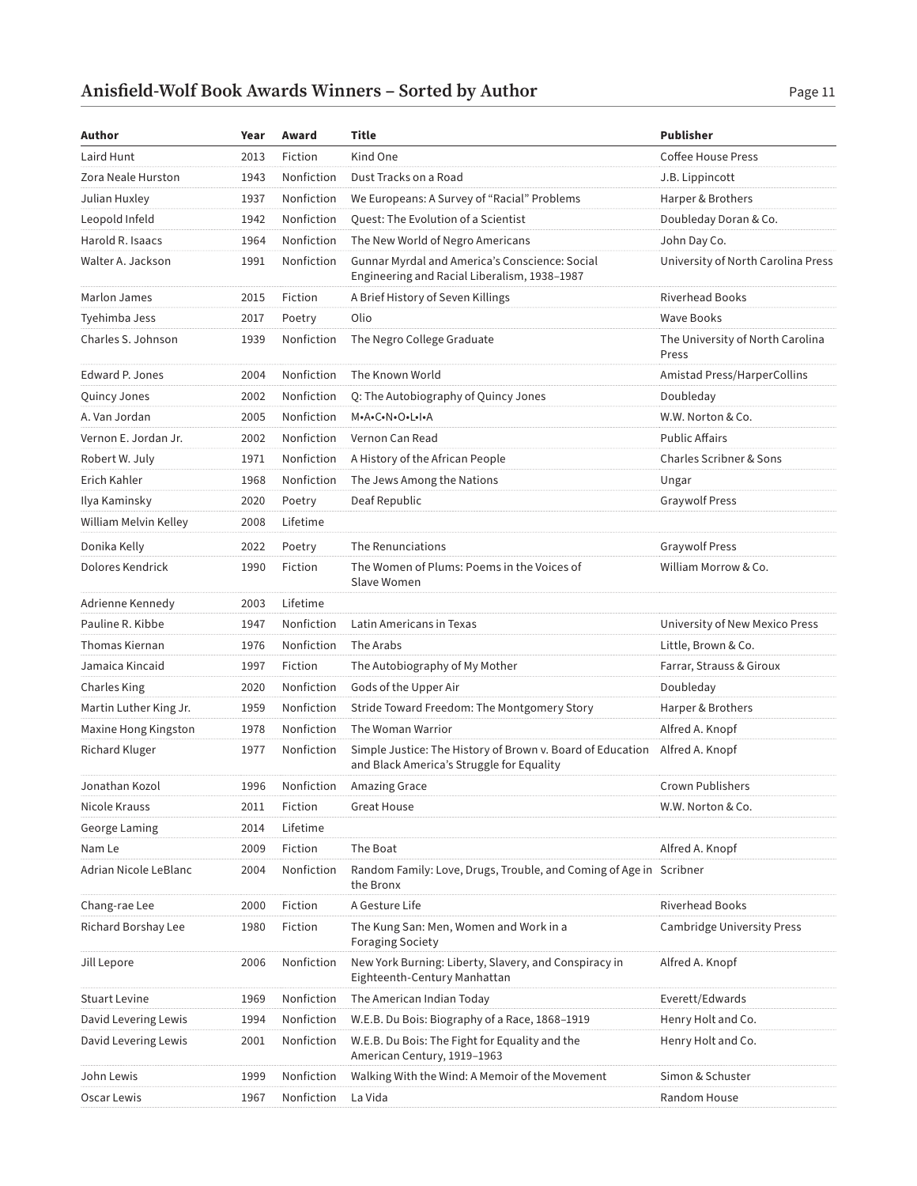| Author                 | Year | Award      | Title                                                                                                                   | <b>Publisher</b>                          |
|------------------------|------|------------|-------------------------------------------------------------------------------------------------------------------------|-------------------------------------------|
| Laird Hunt             | 2013 | Fiction    | Kind One                                                                                                                | <b>Coffee House Press</b>                 |
| Zora Neale Hurston     | 1943 | Nonfiction | Dust Tracks on a Road                                                                                                   | J.B. Lippincott                           |
| Julian Huxley          | 1937 | Nonfiction | We Europeans: A Survey of "Racial" Problems                                                                             | Harper & Brothers                         |
| Leopold Infeld         | 1942 | Nonfiction | Quest: The Evolution of a Scientist                                                                                     | Doubleday Doran & Co.                     |
| Harold R. Isaacs       | 1964 | Nonfiction | The New World of Negro Americans                                                                                        | John Day Co.                              |
| Walter A. Jackson      | 1991 | Nonfiction | Gunnar Myrdal and America's Conscience: Social<br>Engineering and Racial Liberalism, 1938-1987                          | University of North Carolina Press        |
| Marlon James           | 2015 | Fiction    | A Brief History of Seven Killings                                                                                       | <b>Riverhead Books</b>                    |
| Tyehimba Jess          | 2017 | Poetry     | Olio                                                                                                                    | <b>Wave Books</b>                         |
| Charles S. Johnson     | 1939 | Nonfiction | The Negro College Graduate                                                                                              | The University of North Carolina<br>Press |
| Edward P. Jones        | 2004 | Nonfiction | The Known World                                                                                                         | Amistad Press/HarperCollins               |
| Quincy Jones           | 2002 | Nonfiction | Q: The Autobiography of Quincy Jones                                                                                    | Doubleday                                 |
| A. Van Jordan          | 2005 | Nonfiction | M.A.C.N.O.L.I.A                                                                                                         | W.W. Norton & Co.                         |
| Vernon E. Jordan Jr.   | 2002 | Nonfiction | Vernon Can Read                                                                                                         | <b>Public Affairs</b>                     |
| Robert W. July         | 1971 | Nonfiction | A History of the African People                                                                                         | Charles Scribner & Sons                   |
| Erich Kahler           | 1968 | Nonfiction | The Jews Among the Nations                                                                                              | Ungar                                     |
| Ilya Kaminsky          | 2020 | Poetry     | Deaf Republic                                                                                                           | <b>Graywolf Press</b>                     |
| William Melvin Kelley  | 2008 | Lifetime   |                                                                                                                         |                                           |
| Donika Kelly           | 2022 | Poetry     | The Renunciations                                                                                                       | <b>Graywolf Press</b>                     |
| Dolores Kendrick       | 1990 | Fiction    | The Women of Plums: Poems in the Voices of<br>Slave Women                                                               | William Morrow & Co.                      |
| Adrienne Kennedy       | 2003 | Lifetime   |                                                                                                                         |                                           |
| Pauline R. Kibbe       | 1947 | Nonfiction | Latin Americans in Texas                                                                                                | University of New Mexico Press            |
| <b>Thomas Kiernan</b>  | 1976 | Nonfiction | The Arabs                                                                                                               | Little, Brown & Co.                       |
| Jamaica Kincaid        | 1997 | Fiction    | The Autobiography of My Mother                                                                                          | Farrar, Strauss & Giroux                  |
| Charles King           | 2020 | Nonfiction | Gods of the Upper Air                                                                                                   | Doubleday                                 |
| Martin Luther King Jr. | 1959 | Nonfiction | Stride Toward Freedom: The Montgomery Story                                                                             | Harper & Brothers                         |
| Maxine Hong Kingston   | 1978 | Nonfiction | The Woman Warrior                                                                                                       | Alfred A. Knopf                           |
| Richard Kluger         | 1977 | Nonfiction | Simple Justice: The History of Brown v. Board of Education Alfred A. Knopf<br>and Black America's Struggle for Equality |                                           |
| Jonathan Kozol         | 1996 | Nonfiction | Amazing Grace                                                                                                           | Crown Publishers                          |
| Nicole Krauss          | 2011 | Fiction    | <b>Great House</b>                                                                                                      | W.W. Norton & Co.                         |
| George Laming          | 2014 | Lifetime   |                                                                                                                         |                                           |
| Nam Le                 | 2009 | Fiction    | The Boat                                                                                                                | Alfred A. Knopf                           |
| Adrian Nicole LeBlanc  | 2004 | Nonfiction | Random Family: Love, Drugs, Trouble, and Coming of Age in Scribner<br>the Bronx                                         |                                           |
| Chang-rae Lee          | 2000 | Fiction    | A Gesture Life                                                                                                          | <b>Riverhead Books</b>                    |
| Richard Borshay Lee    | 1980 | Fiction    | The Kung San: Men, Women and Work in a<br><b>Foraging Society</b>                                                       | Cambridge University Press                |
| Jill Lepore            | 2006 | Nonfiction | New York Burning: Liberty, Slavery, and Conspiracy in<br>Eighteenth-Century Manhattan                                   | Alfred A. Knopf                           |
| <b>Stuart Levine</b>   | 1969 | Nonfiction | The American Indian Today                                                                                               | Everett/Edwards                           |
| David Levering Lewis   | 1994 | Nonfiction | W.E.B. Du Bois: Biography of a Race, 1868-1919                                                                          | Henry Holt and Co.                        |
| David Levering Lewis   | 2001 | Nonfiction | W.E.B. Du Bois: The Fight for Equality and the<br>American Century, 1919-1963                                           | Henry Holt and Co.                        |
| John Lewis             | 1999 | Nonfiction | Walking With the Wind: A Memoir of the Movement                                                                         | Simon & Schuster                          |
| Oscar Lewis            | 1967 | Nonfiction | La Vida                                                                                                                 | Random House                              |
|                        |      |            |                                                                                                                         |                                           |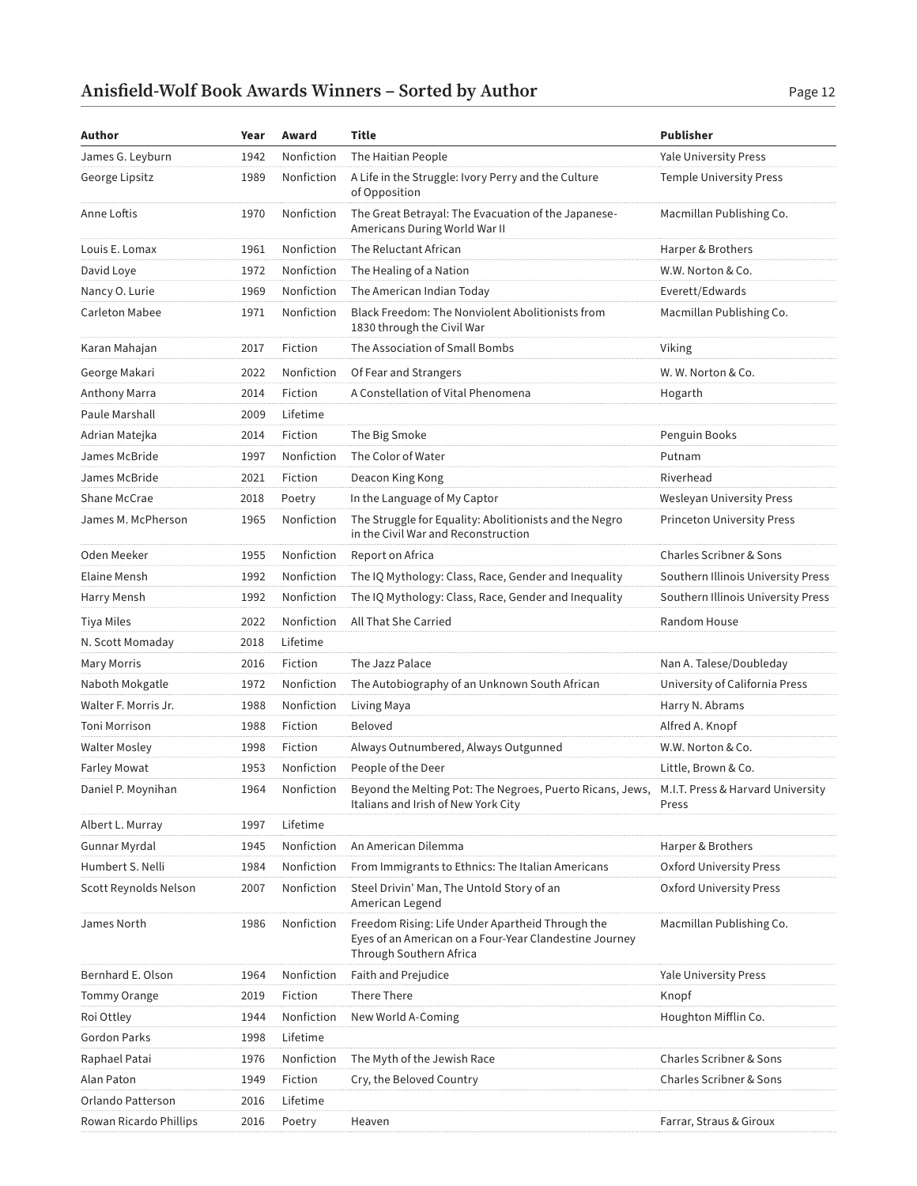| James G. Leyburn<br>1942<br>Nonfiction<br>The Haitian People<br>Yale University Press<br>George Lipsitz<br>Nonfiction<br>A Life in the Struggle: Ivory Perry and the Culture<br><b>Temple University Press</b><br>1989<br>of Opposition<br>Nonfiction<br>The Great Betrayal: The Evacuation of the Japanese-<br>Macmillan Publishing Co.<br>Anne Loftis<br>1970<br>Americans During World War II<br>Nonfiction<br>The Reluctant African<br>Louis E. Lomax<br>1961<br>Harper & Brothers<br>Nonfiction<br>David Loye<br>1972<br>The Healing of a Nation<br>W.W. Norton & Co.<br>Nancy O. Lurie<br>1969<br>Nonfiction<br>The American Indian Today<br>Everett/Edwards<br><b>Carleton Mabee</b><br>Nonfiction<br>Black Freedom: The Nonviolent Abolitionists from<br>Macmillan Publishing Co.<br>1971<br>1830 through the Civil War<br>Fiction<br>The Association of Small Bombs<br>Viking<br>Karan Mahajan<br>2017<br>George Makari<br>2022<br>Nonfiction<br>Of Fear and Strangers<br>W. W. Norton & Co.<br>Fiction<br>A Constellation of Vital Phenomena<br>Anthony Marra<br>2014<br>Hogarth<br>Paule Marshall<br>2009<br>Lifetime<br>2014<br>Fiction<br>The Big Smoke<br>Penguin Books<br>Adrian Matejka<br>James McBride<br>Nonfiction<br>The Color of Water<br>1997<br>Putnam<br>James McBride<br>2021<br>Riverhead<br>Fiction<br>Deacon King Kong<br>2018<br>In the Language of My Captor<br><b>Shane McCrae</b><br>Poetry<br>Wesleyan University Press<br>The Struggle for Equality: Abolitionists and the Negro<br>James M. McPherson<br>Nonfiction<br><b>Princeton University Press</b><br>1965<br>in the Civil War and Reconstruction<br>Oden Meeker<br>Nonfiction<br>Charles Scribner & Sons<br>1955<br>Report on Africa<br>Elaine Mensh<br>1992<br>Nonfiction<br>The IQ Mythology: Class, Race, Gender and Inequality<br>Southern Illinois University Press<br>1992<br>Nonfiction<br>The IQ Mythology: Class, Race, Gender and Inequality<br>Southern Illinois University Press<br>Harry Mensh<br>Nonfiction<br>Tiya Miles<br>2022<br>All That She Carried<br>Random House | Author | Year | Award | Title | <b>Publisher</b> |
|------------------------------------------------------------------------------------------------------------------------------------------------------------------------------------------------------------------------------------------------------------------------------------------------------------------------------------------------------------------------------------------------------------------------------------------------------------------------------------------------------------------------------------------------------------------------------------------------------------------------------------------------------------------------------------------------------------------------------------------------------------------------------------------------------------------------------------------------------------------------------------------------------------------------------------------------------------------------------------------------------------------------------------------------------------------------------------------------------------------------------------------------------------------------------------------------------------------------------------------------------------------------------------------------------------------------------------------------------------------------------------------------------------------------------------------------------------------------------------------------------------------------------------------------------------------------------------------------------------------------------------------------------------------------------------------------------------------------------------------------------------------------------------------------------------------------------------------------------------------------------------------------------------------------------------------------------------------------------------------------------------------------------------------------------------------------------------|--------|------|-------|-------|------------------|
|                                                                                                                                                                                                                                                                                                                                                                                                                                                                                                                                                                                                                                                                                                                                                                                                                                                                                                                                                                                                                                                                                                                                                                                                                                                                                                                                                                                                                                                                                                                                                                                                                                                                                                                                                                                                                                                                                                                                                                                                                                                                                    |        |      |       |       |                  |
|                                                                                                                                                                                                                                                                                                                                                                                                                                                                                                                                                                                                                                                                                                                                                                                                                                                                                                                                                                                                                                                                                                                                                                                                                                                                                                                                                                                                                                                                                                                                                                                                                                                                                                                                                                                                                                                                                                                                                                                                                                                                                    |        |      |       |       |                  |
|                                                                                                                                                                                                                                                                                                                                                                                                                                                                                                                                                                                                                                                                                                                                                                                                                                                                                                                                                                                                                                                                                                                                                                                                                                                                                                                                                                                                                                                                                                                                                                                                                                                                                                                                                                                                                                                                                                                                                                                                                                                                                    |        |      |       |       |                  |
|                                                                                                                                                                                                                                                                                                                                                                                                                                                                                                                                                                                                                                                                                                                                                                                                                                                                                                                                                                                                                                                                                                                                                                                                                                                                                                                                                                                                                                                                                                                                                                                                                                                                                                                                                                                                                                                                                                                                                                                                                                                                                    |        |      |       |       |                  |
|                                                                                                                                                                                                                                                                                                                                                                                                                                                                                                                                                                                                                                                                                                                                                                                                                                                                                                                                                                                                                                                                                                                                                                                                                                                                                                                                                                                                                                                                                                                                                                                                                                                                                                                                                                                                                                                                                                                                                                                                                                                                                    |        |      |       |       |                  |
|                                                                                                                                                                                                                                                                                                                                                                                                                                                                                                                                                                                                                                                                                                                                                                                                                                                                                                                                                                                                                                                                                                                                                                                                                                                                                                                                                                                                                                                                                                                                                                                                                                                                                                                                                                                                                                                                                                                                                                                                                                                                                    |        |      |       |       |                  |
|                                                                                                                                                                                                                                                                                                                                                                                                                                                                                                                                                                                                                                                                                                                                                                                                                                                                                                                                                                                                                                                                                                                                                                                                                                                                                                                                                                                                                                                                                                                                                                                                                                                                                                                                                                                                                                                                                                                                                                                                                                                                                    |        |      |       |       |                  |
|                                                                                                                                                                                                                                                                                                                                                                                                                                                                                                                                                                                                                                                                                                                                                                                                                                                                                                                                                                                                                                                                                                                                                                                                                                                                                                                                                                                                                                                                                                                                                                                                                                                                                                                                                                                                                                                                                                                                                                                                                                                                                    |        |      |       |       |                  |
|                                                                                                                                                                                                                                                                                                                                                                                                                                                                                                                                                                                                                                                                                                                                                                                                                                                                                                                                                                                                                                                                                                                                                                                                                                                                                                                                                                                                                                                                                                                                                                                                                                                                                                                                                                                                                                                                                                                                                                                                                                                                                    |        |      |       |       |                  |
|                                                                                                                                                                                                                                                                                                                                                                                                                                                                                                                                                                                                                                                                                                                                                                                                                                                                                                                                                                                                                                                                                                                                                                                                                                                                                                                                                                                                                                                                                                                                                                                                                                                                                                                                                                                                                                                                                                                                                                                                                                                                                    |        |      |       |       |                  |
|                                                                                                                                                                                                                                                                                                                                                                                                                                                                                                                                                                                                                                                                                                                                                                                                                                                                                                                                                                                                                                                                                                                                                                                                                                                                                                                                                                                                                                                                                                                                                                                                                                                                                                                                                                                                                                                                                                                                                                                                                                                                                    |        |      |       |       |                  |
|                                                                                                                                                                                                                                                                                                                                                                                                                                                                                                                                                                                                                                                                                                                                                                                                                                                                                                                                                                                                                                                                                                                                                                                                                                                                                                                                                                                                                                                                                                                                                                                                                                                                                                                                                                                                                                                                                                                                                                                                                                                                                    |        |      |       |       |                  |
|                                                                                                                                                                                                                                                                                                                                                                                                                                                                                                                                                                                                                                                                                                                                                                                                                                                                                                                                                                                                                                                                                                                                                                                                                                                                                                                                                                                                                                                                                                                                                                                                                                                                                                                                                                                                                                                                                                                                                                                                                                                                                    |        |      |       |       |                  |
|                                                                                                                                                                                                                                                                                                                                                                                                                                                                                                                                                                                                                                                                                                                                                                                                                                                                                                                                                                                                                                                                                                                                                                                                                                                                                                                                                                                                                                                                                                                                                                                                                                                                                                                                                                                                                                                                                                                                                                                                                                                                                    |        |      |       |       |                  |
|                                                                                                                                                                                                                                                                                                                                                                                                                                                                                                                                                                                                                                                                                                                                                                                                                                                                                                                                                                                                                                                                                                                                                                                                                                                                                                                                                                                                                                                                                                                                                                                                                                                                                                                                                                                                                                                                                                                                                                                                                                                                                    |        |      |       |       |                  |
|                                                                                                                                                                                                                                                                                                                                                                                                                                                                                                                                                                                                                                                                                                                                                                                                                                                                                                                                                                                                                                                                                                                                                                                                                                                                                                                                                                                                                                                                                                                                                                                                                                                                                                                                                                                                                                                                                                                                                                                                                                                                                    |        |      |       |       |                  |
|                                                                                                                                                                                                                                                                                                                                                                                                                                                                                                                                                                                                                                                                                                                                                                                                                                                                                                                                                                                                                                                                                                                                                                                                                                                                                                                                                                                                                                                                                                                                                                                                                                                                                                                                                                                                                                                                                                                                                                                                                                                                                    |        |      |       |       |                  |
|                                                                                                                                                                                                                                                                                                                                                                                                                                                                                                                                                                                                                                                                                                                                                                                                                                                                                                                                                                                                                                                                                                                                                                                                                                                                                                                                                                                                                                                                                                                                                                                                                                                                                                                                                                                                                                                                                                                                                                                                                                                                                    |        |      |       |       |                  |
|                                                                                                                                                                                                                                                                                                                                                                                                                                                                                                                                                                                                                                                                                                                                                                                                                                                                                                                                                                                                                                                                                                                                                                                                                                                                                                                                                                                                                                                                                                                                                                                                                                                                                                                                                                                                                                                                                                                                                                                                                                                                                    |        |      |       |       |                  |
|                                                                                                                                                                                                                                                                                                                                                                                                                                                                                                                                                                                                                                                                                                                                                                                                                                                                                                                                                                                                                                                                                                                                                                                                                                                                                                                                                                                                                                                                                                                                                                                                                                                                                                                                                                                                                                                                                                                                                                                                                                                                                    |        |      |       |       |                  |
| Lifetime<br>N. Scott Momaday<br>2018                                                                                                                                                                                                                                                                                                                                                                                                                                                                                                                                                                                                                                                                                                                                                                                                                                                                                                                                                                                                                                                                                                                                                                                                                                                                                                                                                                                                                                                                                                                                                                                                                                                                                                                                                                                                                                                                                                                                                                                                                                               |        |      |       |       |                  |
| <b>Mary Morris</b><br>Fiction<br>The Jazz Palace<br>Nan A. Talese/Doubleday<br>2016                                                                                                                                                                                                                                                                                                                                                                                                                                                                                                                                                                                                                                                                                                                                                                                                                                                                                                                                                                                                                                                                                                                                                                                                                                                                                                                                                                                                                                                                                                                                                                                                                                                                                                                                                                                                                                                                                                                                                                                                |        |      |       |       |                  |
| Naboth Mokgatle<br>1972<br>Nonfiction<br>The Autobiography of an Unknown South African<br>University of California Press                                                                                                                                                                                                                                                                                                                                                                                                                                                                                                                                                                                                                                                                                                                                                                                                                                                                                                                                                                                                                                                                                                                                                                                                                                                                                                                                                                                                                                                                                                                                                                                                                                                                                                                                                                                                                                                                                                                                                           |        |      |       |       |                  |
| Walter F. Morris Jr.<br>1988<br>Nonfiction<br>Harry N. Abrams<br>Living Maya                                                                                                                                                                                                                                                                                                                                                                                                                                                                                                                                                                                                                                                                                                                                                                                                                                                                                                                                                                                                                                                                                                                                                                                                                                                                                                                                                                                                                                                                                                                                                                                                                                                                                                                                                                                                                                                                                                                                                                                                       |        |      |       |       |                  |
| Fiction<br>Beloved<br>Alfred A. Knopf<br>Toni Morrison<br>1988                                                                                                                                                                                                                                                                                                                                                                                                                                                                                                                                                                                                                                                                                                                                                                                                                                                                                                                                                                                                                                                                                                                                                                                                                                                                                                                                                                                                                                                                                                                                                                                                                                                                                                                                                                                                                                                                                                                                                                                                                     |        |      |       |       |                  |
| <b>Walter Mosley</b><br>1998<br>Always Outnumbered, Always Outgunned<br>Fiction<br>W.W. Norton & Co.                                                                                                                                                                                                                                                                                                                                                                                                                                                                                                                                                                                                                                                                                                                                                                                                                                                                                                                                                                                                                                                                                                                                                                                                                                                                                                                                                                                                                                                                                                                                                                                                                                                                                                                                                                                                                                                                                                                                                                               |        |      |       |       |                  |
| Farley Mowat<br>1953<br>Nonfiction<br>People of the Deer<br>Little, Brown & Co.                                                                                                                                                                                                                                                                                                                                                                                                                                                                                                                                                                                                                                                                                                                                                                                                                                                                                                                                                                                                                                                                                                                                                                                                                                                                                                                                                                                                                                                                                                                                                                                                                                                                                                                                                                                                                                                                                                                                                                                                    |        |      |       |       |                  |
| 1964<br>Daniel P. Moynihan<br>Nonfiction<br>Beyond the Melting Pot: The Negroes, Puerto Ricans, Jews,<br>M.I.T. Press & Harvard University<br>Italians and Irish of New York City<br>Press                                                                                                                                                                                                                                                                                                                                                                                                                                                                                                                                                                                                                                                                                                                                                                                                                                                                                                                                                                                                                                                                                                                                                                                                                                                                                                                                                                                                                                                                                                                                                                                                                                                                                                                                                                                                                                                                                         |        |      |       |       |                  |
| Lifetime<br>1997<br>Albert L. Murray                                                                                                                                                                                                                                                                                                                                                                                                                                                                                                                                                                                                                                                                                                                                                                                                                                                                                                                                                                                                                                                                                                                                                                                                                                                                                                                                                                                                                                                                                                                                                                                                                                                                                                                                                                                                                                                                                                                                                                                                                                               |        |      |       |       |                  |
| Nonfiction<br>Gunnar Myrdal<br>1945<br>An American Dilemma<br>Harper & Brothers                                                                                                                                                                                                                                                                                                                                                                                                                                                                                                                                                                                                                                                                                                                                                                                                                                                                                                                                                                                                                                                                                                                                                                                                                                                                                                                                                                                                                                                                                                                                                                                                                                                                                                                                                                                                                                                                                                                                                                                                    |        |      |       |       |                  |
| Humbert S. Nelli<br>Nonfiction<br>From Immigrants to Ethnics: The Italian Americans<br>1984<br>Oxford University Press                                                                                                                                                                                                                                                                                                                                                                                                                                                                                                                                                                                                                                                                                                                                                                                                                                                                                                                                                                                                                                                                                                                                                                                                                                                                                                                                                                                                                                                                                                                                                                                                                                                                                                                                                                                                                                                                                                                                                             |        |      |       |       |                  |
| Scott Reynolds Nelson<br>Nonfiction<br>Steel Drivin' Man, The Untold Story of an<br>2007<br>Oxford University Press<br>American Legend                                                                                                                                                                                                                                                                                                                                                                                                                                                                                                                                                                                                                                                                                                                                                                                                                                                                                                                                                                                                                                                                                                                                                                                                                                                                                                                                                                                                                                                                                                                                                                                                                                                                                                                                                                                                                                                                                                                                             |        |      |       |       |                  |
| Freedom Rising: Life Under Apartheid Through the<br>Nonfiction<br>Macmillan Publishing Co.<br>James North<br>1986<br>Eyes of an American on a Four-Year Clandestine Journey<br>Through Southern Africa                                                                                                                                                                                                                                                                                                                                                                                                                                                                                                                                                                                                                                                                                                                                                                                                                                                                                                                                                                                                                                                                                                                                                                                                                                                                                                                                                                                                                                                                                                                                                                                                                                                                                                                                                                                                                                                                             |        |      |       |       |                  |
| Nonfiction<br>Bernhard E. Olson<br>Faith and Prejudice<br>1964<br><b>Yale University Press</b>                                                                                                                                                                                                                                                                                                                                                                                                                                                                                                                                                                                                                                                                                                                                                                                                                                                                                                                                                                                                                                                                                                                                                                                                                                                                                                                                                                                                                                                                                                                                                                                                                                                                                                                                                                                                                                                                                                                                                                                     |        |      |       |       |                  |
| Fiction<br>There There<br>Tommy Orange<br>2019<br>Knopf                                                                                                                                                                                                                                                                                                                                                                                                                                                                                                                                                                                                                                                                                                                                                                                                                                                                                                                                                                                                                                                                                                                                                                                                                                                                                                                                                                                                                                                                                                                                                                                                                                                                                                                                                                                                                                                                                                                                                                                                                            |        |      |       |       |                  |
| Roi Ottley<br>1944<br>Nonfiction<br>New World A-Coming<br>Houghton Mifflin Co.                                                                                                                                                                                                                                                                                                                                                                                                                                                                                                                                                                                                                                                                                                                                                                                                                                                                                                                                                                                                                                                                                                                                                                                                                                                                                                                                                                                                                                                                                                                                                                                                                                                                                                                                                                                                                                                                                                                                                                                                     |        |      |       |       |                  |
| Gordon Parks<br>Lifetime<br>1998                                                                                                                                                                                                                                                                                                                                                                                                                                                                                                                                                                                                                                                                                                                                                                                                                                                                                                                                                                                                                                                                                                                                                                                                                                                                                                                                                                                                                                                                                                                                                                                                                                                                                                                                                                                                                                                                                                                                                                                                                                                   |        |      |       |       |                  |
| Nonfiction<br>The Myth of the Jewish Race<br>Charles Scribner & Sons<br>Raphael Patai<br>1976                                                                                                                                                                                                                                                                                                                                                                                                                                                                                                                                                                                                                                                                                                                                                                                                                                                                                                                                                                                                                                                                                                                                                                                                                                                                                                                                                                                                                                                                                                                                                                                                                                                                                                                                                                                                                                                                                                                                                                                      |        |      |       |       |                  |
| Alan Paton<br>Fiction<br>Cry, the Beloved Country<br>Charles Scribner & Sons<br>1949                                                                                                                                                                                                                                                                                                                                                                                                                                                                                                                                                                                                                                                                                                                                                                                                                                                                                                                                                                                                                                                                                                                                                                                                                                                                                                                                                                                                                                                                                                                                                                                                                                                                                                                                                                                                                                                                                                                                                                                               |        |      |       |       |                  |
| Orlando Patterson<br>2016<br>Lifetime                                                                                                                                                                                                                                                                                                                                                                                                                                                                                                                                                                                                                                                                                                                                                                                                                                                                                                                                                                                                                                                                                                                                                                                                                                                                                                                                                                                                                                                                                                                                                                                                                                                                                                                                                                                                                                                                                                                                                                                                                                              |        |      |       |       |                  |
| Rowan Ricardo Phillips<br>2016<br>Poetry<br>Heaven<br>Farrar, Straus & Giroux                                                                                                                                                                                                                                                                                                                                                                                                                                                                                                                                                                                                                                                                                                                                                                                                                                                                                                                                                                                                                                                                                                                                                                                                                                                                                                                                                                                                                                                                                                                                                                                                                                                                                                                                                                                                                                                                                                                                                                                                      |        |      |       |       |                  |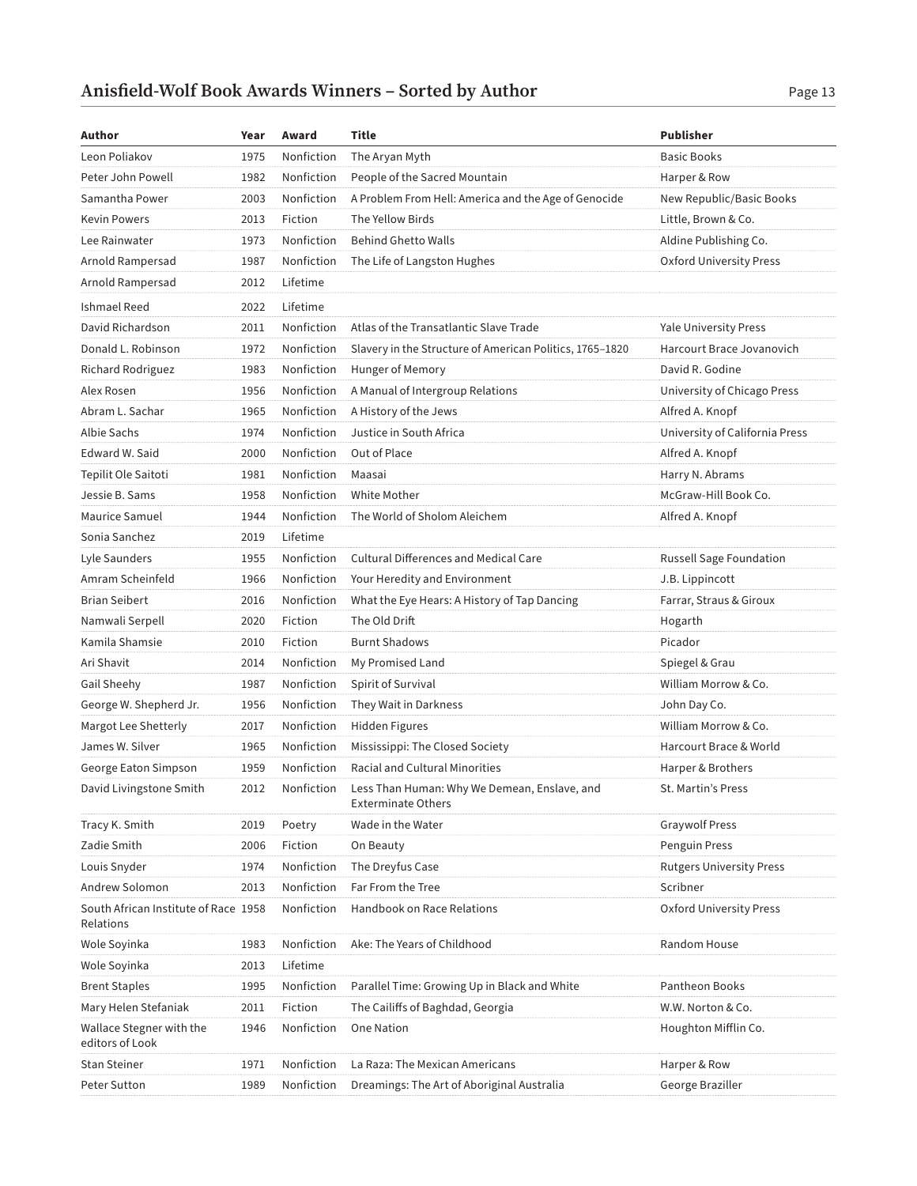| Author                                            | Year | Award      | Title                                                                     | <b>Publisher</b>                |
|---------------------------------------------------|------|------------|---------------------------------------------------------------------------|---------------------------------|
| Leon Poliakov                                     | 1975 | Nonfiction | The Aryan Myth                                                            | <b>Basic Books</b>              |
| Peter John Powell                                 | 1982 | Nonfiction | People of the Sacred Mountain                                             | Harper & Row                    |
| Samantha Power                                    | 2003 | Nonfiction | A Problem From Hell: America and the Age of Genocide                      | New Republic/Basic Books        |
| <b>Kevin Powers</b>                               | 2013 | Fiction    | The Yellow Birds                                                          | Little, Brown & Co.             |
| Lee Rainwater                                     | 1973 | Nonfiction | <b>Behind Ghetto Walls</b>                                                | Aldine Publishing Co.           |
| Arnold Rampersad                                  | 1987 | Nonfiction | The Life of Langston Hughes                                               | Oxford University Press         |
| Arnold Rampersad                                  | 2012 | Lifetime   |                                                                           |                                 |
| Ishmael Reed                                      | 2022 | Lifetime   |                                                                           |                                 |
| David Richardson                                  | 2011 | Nonfiction | Atlas of the Transatlantic Slave Trade                                    | <b>Yale University Press</b>    |
| Donald L. Robinson                                | 1972 | Nonfiction | Slavery in the Structure of American Politics, 1765-1820                  | Harcourt Brace Jovanovich       |
| Richard Rodriguez                                 | 1983 | Nonfiction | Hunger of Memory                                                          | David R. Godine                 |
| Alex Rosen                                        | 1956 | Nonfiction | A Manual of Intergroup Relations                                          | University of Chicago Press     |
| Abram L. Sachar                                   | 1965 | Nonfiction | A History of the Jews                                                     | Alfred A. Knopf                 |
| <b>Albie Sachs</b>                                | 1974 | Nonfiction | Justice in South Africa                                                   | University of California Press  |
| Edward W. Said                                    | 2000 | Nonfiction | Out of Place                                                              | Alfred A. Knopf                 |
| Tepilit Ole Saitoti                               | 1981 | Nonfiction | Maasai                                                                    | Harry N. Abrams                 |
| Jessie B. Sams                                    | 1958 | Nonfiction | White Mother                                                              | McGraw-Hill Book Co.            |
| Maurice Samuel                                    | 1944 | Nonfiction | The World of Sholom Aleichem                                              | Alfred A. Knopf                 |
| Sonia Sanchez                                     | 2019 | Lifetime   |                                                                           |                                 |
| Lyle Saunders                                     | 1955 | Nonfiction | <b>Cultural Differences and Medical Care</b>                              | <b>Russell Sage Foundation</b>  |
| Amram Scheinfeld                                  | 1966 | Nonfiction | Your Heredity and Environment                                             | J.B. Lippincott                 |
| <b>Brian Seibert</b>                              | 2016 | Nonfiction | What the Eye Hears: A History of Tap Dancing                              | Farrar, Straus & Giroux         |
| Namwali Serpell                                   | 2020 | Fiction    | The Old Drift                                                             | Hogarth                         |
| Kamila Shamsie                                    | 2010 | Fiction    | <b>Burnt Shadows</b>                                                      | Picador                         |
| Ari Shavit                                        | 2014 | Nonfiction | My Promised Land                                                          | Spiegel & Grau                  |
| Gail Sheehy                                       | 1987 | Nonfiction | Spirit of Survival                                                        | William Morrow & Co.            |
| George W. Shepherd Jr.                            | 1956 | Nonfiction | They Wait in Darkness                                                     | John Day Co.                    |
| Margot Lee Shetterly                              | 2017 | Nonfiction | <b>Hidden Figures</b>                                                     | William Morrow & Co.            |
| James W. Silver                                   | 1965 | Nonfiction | Mississippi: The Closed Society                                           | Harcourt Brace & World          |
| George Eaton Simpson                              | 1959 | Nonfiction | Racial and Cultural Minorities                                            | Harper & Brothers               |
| David Livingstone Smith                           | 2012 | Nonfiction | Less Than Human: Why We Demean, Enslave, and<br><b>Exterminate Others</b> | St. Martin's Press              |
| Tracy K. Smith                                    | 2019 | Poetry     | Wade in the Water                                                         | <b>Graywolf Press</b>           |
| Zadie Smith                                       | 2006 | Fiction    | On Beauty                                                                 | Penguin Press                   |
| Louis Snyder                                      | 1974 | Nonfiction | The Dreyfus Case                                                          | <b>Rutgers University Press</b> |
| Andrew Solomon                                    | 2013 | Nonfiction | Far From the Tree                                                         | Scribner                        |
| South African Institute of Race 1958<br>Relations |      | Nonfiction | Handbook on Race Relations                                                | Oxford University Press         |
| Wole Soyinka                                      | 1983 | Nonfiction | Ake: The Years of Childhood                                               | Random House                    |
| Wole Soyinka                                      | 2013 | Lifetime   |                                                                           |                                 |
| <b>Brent Staples</b>                              | 1995 | Nonfiction | Parallel Time: Growing Up in Black and White                              | <b>Pantheon Books</b>           |
| Mary Helen Stefaniak                              | 2011 | Fiction    | The Cailiffs of Baghdad, Georgia                                          | W.W. Norton & Co.               |
| Wallace Stegner with the<br>editors of Look       | 1946 | Nonfiction | One Nation                                                                | Houghton Mifflin Co.            |
| <b>Stan Steiner</b>                               | 1971 | Nonfiction | La Raza: The Mexican Americans                                            | Harper & Row                    |
| Peter Sutton                                      | 1989 | Nonfiction | Dreamings: The Art of Aboriginal Australia                                | George Braziller                |
|                                                   |      |            |                                                                           |                                 |